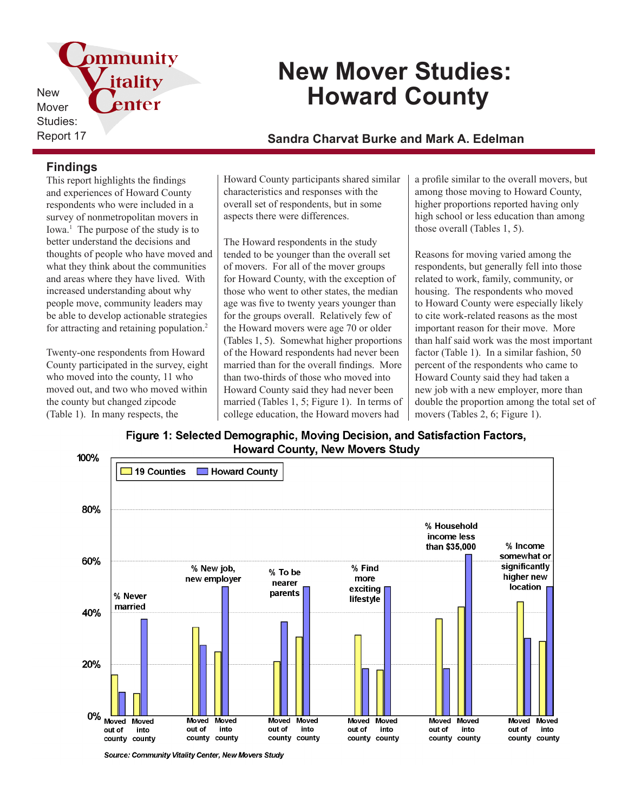pmmunity itality New enter Mover Studies:

# **New Mover Studies: Howard County**

# Report 17 **Sandra Charvat Burke and Mark A. Edelman**

### **Findings**

This report highlights the findings and experiences of Howard County respondents who were included in a survey of nonmetropolitan movers in Iowa.<sup>1</sup> The purpose of the study is to better understand the decisions and thoughts of people who have moved and what they think about the communities and areas where they have lived. With increased understanding about why people move, community leaders may be able to develop actionable strategies for attracting and retaining population.<sup>2</sup>

Twenty-one respondents from Howard County participated in the survey, eight who moved into the county, 11 who moved out, and two who moved within the county but changed zipcode (Table 1). In many respects, the

Howard County participants shared similar characteristics and responses with the overall set of respondents, but in some aspects there were differences.

The Howard respondents in the study tended to be younger than the overall set of movers. For all of the mover groups for Howard County, with the exception of those who went to other states, the median age was five to twenty years younger than for the groups overall. Relatively few of the Howard movers were age 70 or older (Tables 1, 5). Somewhat higher proportions of the Howard respondents had never been married than for the overall findings. More than two-thirds of those who moved into Howard County said they had never been married (Tables 1, 5; Figure 1). In terms of college education, the Howard movers had

a profile similar to the overall movers, but among those moving to Howard County, higher proportions reported having only high school or less education than among those overall (Tables 1, 5).

Reasons for moving varied among the respondents, but generally fell into those related to work, family, community, or housing. The respondents who moved to Howard County were especially likely to cite work-related reasons as the most important reason for their move. More than half said work was the most important factor (Table 1). In a similar fashion, 50 percent of the respondents who came to Howard County said they had taken a new job with a new employer, more than double the proportion among the total set of movers (Tables 2, 6; Figure 1).

Figure 1: Selected Demographic, Moving Decision, and Satisfaction Factors, **Howard County, New Movers Study** 



Source: Community Vitality Center, New Movers Study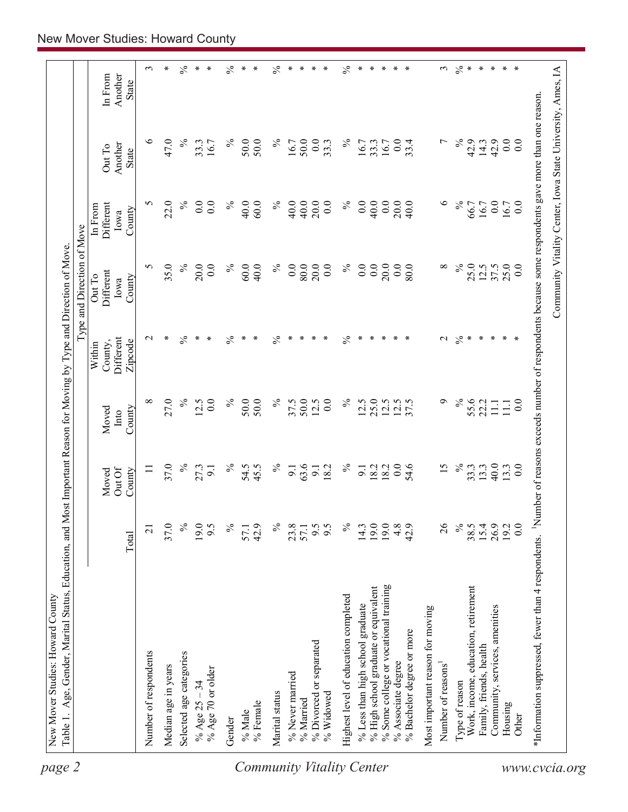| $\frac{1}{2}$ *<br>$\ast$<br>Another<br>In From<br>State<br>$\%$<br>$\%$<br>$\circ$<br>47.0<br>$\%$<br>50.0<br>50.0<br>$\%$<br>50.0<br>0.0<br>$\%$<br>42.9<br>0.0<br>16.7<br>0.0<br>33.4<br>L<br>14.3<br>42.9<br>33.3<br>16.7<br>33.3<br>33.3<br>$\overline{0.0}$<br>16.7<br>16.7<br>Another<br>Out To<br><b>State</b><br>$\%$<br>$\circ$<br>$\%$<br>22.0<br>$\%$<br>$\%$<br>40.0<br>$\%$<br>0.0<br>20.0<br>40.0<br>S<br>0.0<br>0.0<br>40.0<br>60.0<br>40.0<br>20.0<br>0.0<br>40.0<br>0.0<br>66.7<br>$0.0\,$<br>16.7<br>$\overline{0.0}$<br>Different<br>16.7<br>In From<br>County<br>lowa<br>35.0<br>$\%$<br>20.0<br>60.0<br>$\%$<br>80.0<br>20.0<br>$\%$<br>0.0<br>0.0<br>0.0<br>$\infty$<br>$\%$<br>25.0<br>25.0<br>S<br>0.0<br>$\%$<br>40.0<br>0.0<br>0.0<br>20.0<br>80.0<br>12.5<br>37.5<br>0.0<br>Different<br>Out To<br>County<br>Iowa<br>$\frac{5}{6}$<br>$\frac{5}{6}$<br>$\frac{5}{6}$<br>$\frac{5}{6}$<br>$\%$<br>$\mathcal{L}$<br>∗<br>$\ast$<br>$\ast$<br>∗<br>$\mathbf{\sim}$<br>∗<br>∗<br>∗<br>∗<br>∗<br>∗<br>∗<br>∗<br>∗<br>∗<br>∗<br>∗<br>∗<br>∗<br>Different<br>Zipcode<br>County,<br>Within<br>$\%$<br>$\%$<br>27.0<br>50.0<br>$\%$<br>50.0<br>$\%$<br>25.0<br>$\sigma$<br>55.6<br>${}^{\circ}$<br>12.5<br>0.0<br>$\%$<br>50.0<br>12.5<br>$\overline{0}$ .<br>12.5<br>$12.5$<br>37.5<br>37.5<br>12.5<br>22.2<br>$\overline{0}$ .<br>11.1<br>$\Xi$<br>Moved<br>County<br>Into<br>$\%$<br>37.0<br>$\%$<br>$\%$<br>$\overline{0}$ .<br>$\%$<br>40.0<br>$\%$<br>54.5<br>63.6<br>18.2<br>54.6<br>15<br>33.3<br>27.3<br>45.5<br>13.3<br>13.3<br>$\overline{0.0}$<br>18.2<br>9.1<br>$\Box$<br>$\overline{9}$ .<br>9.1<br>$\overline{9}$ .<br>Out Of<br>County<br>Moved<br>$\lesssim$<br>0.0<br>$\%$<br>19.0<br>6.6<br>$\%$<br>19.0<br>19.0<br>$4.8$<br>42.9<br>$\frac{26}{5}$<br>38.5<br>$15.4$<br>$26.9$<br>$19.2$<br>37.0<br>9.5<br>$\%$<br>42.9<br>$\%$<br>23.8<br>57.1<br>9.5<br>14.3<br>$\overline{21}$<br>57.1<br>Total<br>% Some college or vocational training<br>% High school graduate or equivalent<br>Work, income, education, retirement<br>Highest level of education completed<br>% Less than high school graduate<br>Community, services, amenities<br>Most important reason for moving<br>% Bachelor degree or more<br>% Divorced or separated<br>Family, friends, health<br>Number of respondents<br>Selected age categories<br>% Associate degree<br>Number of reasons <sup>1</sup><br>Median age in years<br>% Age 70 or older<br>% Never married<br>Type of reason<br>% Age $25 - 34$<br>Marital status<br>% Widowed<br>% Married<br>% Female<br>Housing<br>$\%$ Male<br>Other<br>Gender | *Information suppressed, fewer than 4 respondents. Number of reasons exceeds number of respondents because some respondents gave more than one reason. |  |  | Type and Direction of Move |  |                  |
|---------------------------------------------------------------------------------------------------------------------------------------------------------------------------------------------------------------------------------------------------------------------------------------------------------------------------------------------------------------------------------------------------------------------------------------------------------------------------------------------------------------------------------------------------------------------------------------------------------------------------------------------------------------------------------------------------------------------------------------------------------------------------------------------------------------------------------------------------------------------------------------------------------------------------------------------------------------------------------------------------------------------------------------------------------------------------------------------------------------------------------------------------------------------------------------------------------------------------------------------------------------------------------------------------------------------------------------------------------------------------------------------------------------------------------------------------------------------------------------------------------------------------------------------------------------------------------------------------------------------------------------------------------------------------------------------------------------------------------------------------------------------------------------------------------------------------------------------------------------------------------------------------------------------------------------------------------------------------------------------------------------------------------------------------------------------------------------------------------------------------------------------------------------------------------------------------------------------------------------------------------------------------------------------------------------------------------------------------------------------------------------------------------------------------------------------------------------------------------------------------------------------------------------------------------------------------------------------------------------------------|--------------------------------------------------------------------------------------------------------------------------------------------------------|--|--|----------------------------|--|------------------|
|                                                                                                                                                                                                                                                                                                                                                                                                                                                                                                                                                                                                                                                                                                                                                                                                                                                                                                                                                                                                                                                                                                                                                                                                                                                                                                                                                                                                                                                                                                                                                                                                                                                                                                                                                                                                                                                                                                                                                                                                                                                                                                                                                                                                                                                                                                                                                                                                                                                                                                                                                                                                                           |                                                                                                                                                        |  |  |                            |  |                  |
|                                                                                                                                                                                                                                                                                                                                                                                                                                                                                                                                                                                                                                                                                                                                                                                                                                                                                                                                                                                                                                                                                                                                                                                                                                                                                                                                                                                                                                                                                                                                                                                                                                                                                                                                                                                                                                                                                                                                                                                                                                                                                                                                                                                                                                                                                                                                                                                                                                                                                                                                                                                                                           |                                                                                                                                                        |  |  |                            |  | $\epsilon$       |
|                                                                                                                                                                                                                                                                                                                                                                                                                                                                                                                                                                                                                                                                                                                                                                                                                                                                                                                                                                                                                                                                                                                                                                                                                                                                                                                                                                                                                                                                                                                                                                                                                                                                                                                                                                                                                                                                                                                                                                                                                                                                                                                                                                                                                                                                                                                                                                                                                                                                                                                                                                                                                           |                                                                                                                                                        |  |  |                            |  | $\ast$           |
|                                                                                                                                                                                                                                                                                                                                                                                                                                                                                                                                                                                                                                                                                                                                                                                                                                                                                                                                                                                                                                                                                                                                                                                                                                                                                                                                                                                                                                                                                                                                                                                                                                                                                                                                                                                                                                                                                                                                                                                                                                                                                                                                                                                                                                                                                                                                                                                                                                                                                                                                                                                                                           |                                                                                                                                                        |  |  |                            |  | $\%$             |
|                                                                                                                                                                                                                                                                                                                                                                                                                                                                                                                                                                                                                                                                                                                                                                                                                                                                                                                                                                                                                                                                                                                                                                                                                                                                                                                                                                                                                                                                                                                                                                                                                                                                                                                                                                                                                                                                                                                                                                                                                                                                                                                                                                                                                                                                                                                                                                                                                                                                                                                                                                                                                           |                                                                                                                                                        |  |  |                            |  | $\ast$<br>$\ast$ |
|                                                                                                                                                                                                                                                                                                                                                                                                                                                                                                                                                                                                                                                                                                                                                                                                                                                                                                                                                                                                                                                                                                                                                                                                                                                                                                                                                                                                                                                                                                                                                                                                                                                                                                                                                                                                                                                                                                                                                                                                                                                                                                                                                                                                                                                                                                                                                                                                                                                                                                                                                                                                                           |                                                                                                                                                        |  |  |                            |  |                  |
|                                                                                                                                                                                                                                                                                                                                                                                                                                                                                                                                                                                                                                                                                                                                                                                                                                                                                                                                                                                                                                                                                                                                                                                                                                                                                                                                                                                                                                                                                                                                                                                                                                                                                                                                                                                                                                                                                                                                                                                                                                                                                                                                                                                                                                                                                                                                                                                                                                                                                                                                                                                                                           |                                                                                                                                                        |  |  |                            |  | $\frac{5}{6}$    |
|                                                                                                                                                                                                                                                                                                                                                                                                                                                                                                                                                                                                                                                                                                                                                                                                                                                                                                                                                                                                                                                                                                                                                                                                                                                                                                                                                                                                                                                                                                                                                                                                                                                                                                                                                                                                                                                                                                                                                                                                                                                                                                                                                                                                                                                                                                                                                                                                                                                                                                                                                                                                                           |                                                                                                                                                        |  |  |                            |  | $\ast$           |
|                                                                                                                                                                                                                                                                                                                                                                                                                                                                                                                                                                                                                                                                                                                                                                                                                                                                                                                                                                                                                                                                                                                                                                                                                                                                                                                                                                                                                                                                                                                                                                                                                                                                                                                                                                                                                                                                                                                                                                                                                                                                                                                                                                                                                                                                                                                                                                                                                                                                                                                                                                                                                           |                                                                                                                                                        |  |  |                            |  | $\ast$           |
|                                                                                                                                                                                                                                                                                                                                                                                                                                                                                                                                                                                                                                                                                                                                                                                                                                                                                                                                                                                                                                                                                                                                                                                                                                                                                                                                                                                                                                                                                                                                                                                                                                                                                                                                                                                                                                                                                                                                                                                                                                                                                                                                                                                                                                                                                                                                                                                                                                                                                                                                                                                                                           |                                                                                                                                                        |  |  |                            |  | $\%$             |
|                                                                                                                                                                                                                                                                                                                                                                                                                                                                                                                                                                                                                                                                                                                                                                                                                                                                                                                                                                                                                                                                                                                                                                                                                                                                                                                                                                                                                                                                                                                                                                                                                                                                                                                                                                                                                                                                                                                                                                                                                                                                                                                                                                                                                                                                                                                                                                                                                                                                                                                                                                                                                           |                                                                                                                                                        |  |  |                            |  | ∗                |
|                                                                                                                                                                                                                                                                                                                                                                                                                                                                                                                                                                                                                                                                                                                                                                                                                                                                                                                                                                                                                                                                                                                                                                                                                                                                                                                                                                                                                                                                                                                                                                                                                                                                                                                                                                                                                                                                                                                                                                                                                                                                                                                                                                                                                                                                                                                                                                                                                                                                                                                                                                                                                           |                                                                                                                                                        |  |  |                            |  | $\ast$           |
|                                                                                                                                                                                                                                                                                                                                                                                                                                                                                                                                                                                                                                                                                                                                                                                                                                                                                                                                                                                                                                                                                                                                                                                                                                                                                                                                                                                                                                                                                                                                                                                                                                                                                                                                                                                                                                                                                                                                                                                                                                                                                                                                                                                                                                                                                                                                                                                                                                                                                                                                                                                                                           |                                                                                                                                                        |  |  |                            |  |                  |
|                                                                                                                                                                                                                                                                                                                                                                                                                                                                                                                                                                                                                                                                                                                                                                                                                                                                                                                                                                                                                                                                                                                                                                                                                                                                                                                                                                                                                                                                                                                                                                                                                                                                                                                                                                                                                                                                                                                                                                                                                                                                                                                                                                                                                                                                                                                                                                                                                                                                                                                                                                                                                           |                                                                                                                                                        |  |  |                            |  | $\ast$           |
|                                                                                                                                                                                                                                                                                                                                                                                                                                                                                                                                                                                                                                                                                                                                                                                                                                                                                                                                                                                                                                                                                                                                                                                                                                                                                                                                                                                                                                                                                                                                                                                                                                                                                                                                                                                                                                                                                                                                                                                                                                                                                                                                                                                                                                                                                                                                                                                                                                                                                                                                                                                                                           |                                                                                                                                                        |  |  |                            |  | $\%$             |
|                                                                                                                                                                                                                                                                                                                                                                                                                                                                                                                                                                                                                                                                                                                                                                                                                                                                                                                                                                                                                                                                                                                                                                                                                                                                                                                                                                                                                                                                                                                                                                                                                                                                                                                                                                                                                                                                                                                                                                                                                                                                                                                                                                                                                                                                                                                                                                                                                                                                                                                                                                                                                           |                                                                                                                                                        |  |  |                            |  | $\ast$           |
|                                                                                                                                                                                                                                                                                                                                                                                                                                                                                                                                                                                                                                                                                                                                                                                                                                                                                                                                                                                                                                                                                                                                                                                                                                                                                                                                                                                                                                                                                                                                                                                                                                                                                                                                                                                                                                                                                                                                                                                                                                                                                                                                                                                                                                                                                                                                                                                                                                                                                                                                                                                                                           |                                                                                                                                                        |  |  |                            |  | $\ast$           |
|                                                                                                                                                                                                                                                                                                                                                                                                                                                                                                                                                                                                                                                                                                                                                                                                                                                                                                                                                                                                                                                                                                                                                                                                                                                                                                                                                                                                                                                                                                                                                                                                                                                                                                                                                                                                                                                                                                                                                                                                                                                                                                                                                                                                                                                                                                                                                                                                                                                                                                                                                                                                                           |                                                                                                                                                        |  |  |                            |  | $\ast$           |
|                                                                                                                                                                                                                                                                                                                                                                                                                                                                                                                                                                                                                                                                                                                                                                                                                                                                                                                                                                                                                                                                                                                                                                                                                                                                                                                                                                                                                                                                                                                                                                                                                                                                                                                                                                                                                                                                                                                                                                                                                                                                                                                                                                                                                                                                                                                                                                                                                                                                                                                                                                                                                           |                                                                                                                                                        |  |  |                            |  | $\ast$           |
|                                                                                                                                                                                                                                                                                                                                                                                                                                                                                                                                                                                                                                                                                                                                                                                                                                                                                                                                                                                                                                                                                                                                                                                                                                                                                                                                                                                                                                                                                                                                                                                                                                                                                                                                                                                                                                                                                                                                                                                                                                                                                                                                                                                                                                                                                                                                                                                                                                                                                                                                                                                                                           |                                                                                                                                                        |  |  |                            |  | $\ast$           |
|                                                                                                                                                                                                                                                                                                                                                                                                                                                                                                                                                                                                                                                                                                                                                                                                                                                                                                                                                                                                                                                                                                                                                                                                                                                                                                                                                                                                                                                                                                                                                                                                                                                                                                                                                                                                                                                                                                                                                                                                                                                                                                                                                                                                                                                                                                                                                                                                                                                                                                                                                                                                                           |                                                                                                                                                        |  |  |                            |  |                  |
|                                                                                                                                                                                                                                                                                                                                                                                                                                                                                                                                                                                                                                                                                                                                                                                                                                                                                                                                                                                                                                                                                                                                                                                                                                                                                                                                                                                                                                                                                                                                                                                                                                                                                                                                                                                                                                                                                                                                                                                                                                                                                                                                                                                                                                                                                                                                                                                                                                                                                                                                                                                                                           |                                                                                                                                                        |  |  |                            |  | $\epsilon$       |
|                                                                                                                                                                                                                                                                                                                                                                                                                                                                                                                                                                                                                                                                                                                                                                                                                                                                                                                                                                                                                                                                                                                                                                                                                                                                                                                                                                                                                                                                                                                                                                                                                                                                                                                                                                                                                                                                                                                                                                                                                                                                                                                                                                                                                                                                                                                                                                                                                                                                                                                                                                                                                           |                                                                                                                                                        |  |  |                            |  |                  |
|                                                                                                                                                                                                                                                                                                                                                                                                                                                                                                                                                                                                                                                                                                                                                                                                                                                                                                                                                                                                                                                                                                                                                                                                                                                                                                                                                                                                                                                                                                                                                                                                                                                                                                                                                                                                                                                                                                                                                                                                                                                                                                                                                                                                                                                                                                                                                                                                                                                                                                                                                                                                                           |                                                                                                                                                        |  |  |                            |  |                  |
|                                                                                                                                                                                                                                                                                                                                                                                                                                                                                                                                                                                                                                                                                                                                                                                                                                                                                                                                                                                                                                                                                                                                                                                                                                                                                                                                                                                                                                                                                                                                                                                                                                                                                                                                                                                                                                                                                                                                                                                                                                                                                                                                                                                                                                                                                                                                                                                                                                                                                                                                                                                                                           |                                                                                                                                                        |  |  |                            |  | $\ast$           |
|                                                                                                                                                                                                                                                                                                                                                                                                                                                                                                                                                                                                                                                                                                                                                                                                                                                                                                                                                                                                                                                                                                                                                                                                                                                                                                                                                                                                                                                                                                                                                                                                                                                                                                                                                                                                                                                                                                                                                                                                                                                                                                                                                                                                                                                                                                                                                                                                                                                                                                                                                                                                                           |                                                                                                                                                        |  |  |                            |  | $\ast$           |
|                                                                                                                                                                                                                                                                                                                                                                                                                                                                                                                                                                                                                                                                                                                                                                                                                                                                                                                                                                                                                                                                                                                                                                                                                                                                                                                                                                                                                                                                                                                                                                                                                                                                                                                                                                                                                                                                                                                                                                                                                                                                                                                                                                                                                                                                                                                                                                                                                                                                                                                                                                                                                           |                                                                                                                                                        |  |  |                            |  | $\ast$           |
|                                                                                                                                                                                                                                                                                                                                                                                                                                                                                                                                                                                                                                                                                                                                                                                                                                                                                                                                                                                                                                                                                                                                                                                                                                                                                                                                                                                                                                                                                                                                                                                                                                                                                                                                                                                                                                                                                                                                                                                                                                                                                                                                                                                                                                                                                                                                                                                                                                                                                                                                                                                                                           |                                                                                                                                                        |  |  |                            |  | $\ast$           |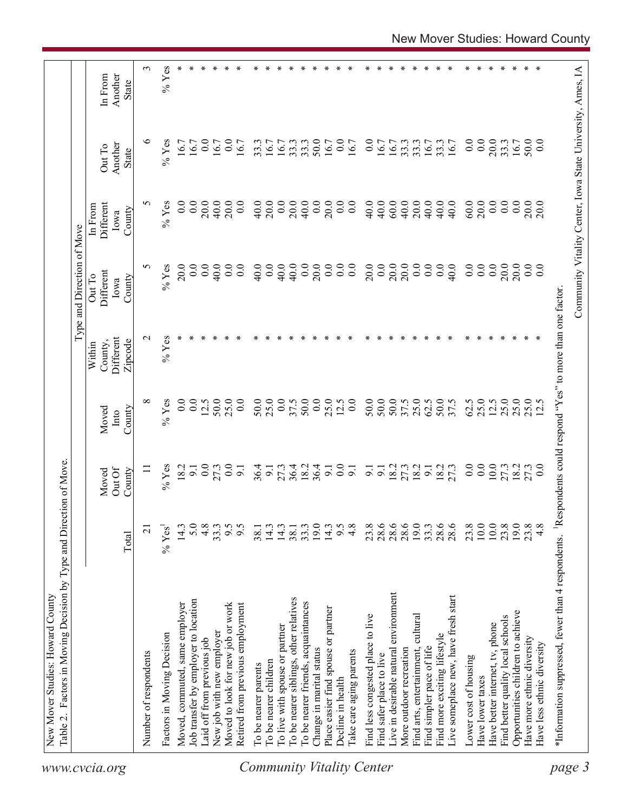| $\epsilon$<br>$%$ Yes<br>∗<br>∗<br>∗<br>÷<br>∗<br>$\ast$<br>∗<br>∗<br>∗<br>∗<br>∗<br>∗<br>∗<br>∗<br>∗<br>∗<br>∗<br>∗<br>∗<br>∗<br>∗<br>∗<br>∗<br>∗<br>∗<br>∗<br>∗<br>∗<br>∗<br>∗<br>Another<br>In From<br>State<br>৩<br>20.0<br>$%$ Yes<br>0.0<br>0.0<br>50.0<br>0.0<br>0.0<br>0.0<br>0.0<br>50.0<br>0.0<br>16.7<br>33.3<br>33.3<br>33.3<br>16.7<br>16.7<br>33.3<br>16.7<br>16.7<br>33.3<br>16.7<br>16.7<br>16.7<br>16.7<br>33.3<br>33.3<br>16.7<br>16.7<br>16.7<br>16.7<br>Another<br>Out To<br><b>State</b><br>5<br>$%$ Yes<br>40.0<br>20.0<br>0.0<br>20.0<br>40.0<br>$60.0$<br>20.0<br>40.0<br>60.0<br>20.0<br>0.0<br>0.0<br>0.0<br>0.0<br>20.0<br>40.0<br>20.0<br>20.0<br>0.0<br>40.0<br>0.0<br>$\overline{0.0}$<br>40.0<br>40.0<br>40.0<br>40.0<br>0.0<br>20.0<br>20.0<br>Different<br>0.0<br>In From<br>County<br>Iowa<br>0.0<br>$20.0$<br>$20.0$<br>5<br>20.0<br>0.0<br>40.0<br>0.0<br>0.0<br>20.0<br>0.0<br>20.0<br>20.0<br>0.0<br>0.0<br>$%$ Yes<br>0.0<br>0.0<br>40.0<br>0.0<br>40.0<br>20.0<br>0.0<br>0.0<br>0.0<br>0.0<br>40.0<br>0.0<br>0.0<br>0.0<br>0.0<br>40.0<br>Different<br>Out To<br>County<br>Iowa<br>$%$ Yes<br>$\sim$<br>Different<br>Zipcode<br>County,<br>Within<br>25.0<br>50.0<br>0.0<br>25.0<br>25.0<br>0.0<br>50.0<br>50.0<br>25.0<br>25.0<br>25.0<br>${}^{\circ}$<br>$%$ Yes<br>0.0<br>$\overline{0.0}$<br>12.5<br>25.0<br>50.0<br>0.0<br>37.5<br>50.0<br>0.0<br>12.5<br>50.0<br>37.5<br>62.5<br>50.0<br>37.5<br>62.5<br>25.0<br>12.5<br>12.5<br>County<br>Moved<br>Into<br>0.0<br>0.0<br>$10.0$<br>$36.4$<br>18.2<br>36.4<br>$\overline{0.0}$<br>9.1<br>18.2<br>18.2<br>0.0<br>27.3<br>18.2<br>27.3<br>27.3<br>0.0<br>36.4<br>27.3<br>9.1<br>18.2<br>27.3<br>$\overline{0}$ :0<br>$%$ Yes<br>18.2<br>$\overline{9}$<br>$\overline{9}$ .<br>$\overline{9}$ .<br>$\overline{9}$ .<br>$\equiv$<br>$\overline{9}$ .<br>$\overline{9}$ .<br>Out Of<br>County<br>Moved<br>19.0<br>4.8<br>9.5<br>19.0<br>28.6<br>28.6<br>28.6<br>19.0<br>28.6<br>23.8<br>10.0<br>$10.0\,$<br>23.8<br>23.8<br>5.0<br>33.3<br>14.3<br>14.3<br>$38.1$<br>$33.3$<br>14.3<br>$9.\overline{8}$<br>4.8<br>23.8<br>33.3<br>4.8<br>14.3<br>38.1<br>$%$ Yes<br>$\overline{c}$<br>Total<br>Live in desirable natural environment<br>Live someplace new, have fresh start<br>To be nearer siblings, other relatives<br>Job transfer by employer to location<br>To be nearer friends, acquaintances<br>Moved, commuted, same employer<br>Moved to look for new job or work<br>Retired from previous employment<br>Place easier find spouse or partner<br>Opportunities children to achieve<br>Find less congested place to live<br>Find arts, entertainment, cultura<br>Find better quality local schools<br>Have better internet, tv, phone<br>To live with spouse or partner<br>New job with new employer<br>Factors in Moving Decision<br>Find more exciting lifestyle<br>Have more ethnic diversity<br>Laid off from previous job<br>Have less ethnic diversity<br>More outdoor recreation<br>Find simpler pace of life<br>Change in marital status<br>Take care aging parents<br>Number of respondents<br>Find safer place to live<br>Lower cost of housing<br>To be nearer children<br>To be nearer parents<br>Have lower taxes<br>Decline in health | Community Vitality Center, Iowa State University, Ames, IA<br><sup>1</sup> Respondents could respond "Yes" to more than one factor<br>*Information suppressed, fewer than 4 respondents. | Factors in Moving Decision by Type and Direction of Move. |  |  | Type and Direction of Move |  |  |
|-------------------------------------------------------------------------------------------------------------------------------------------------------------------------------------------------------------------------------------------------------------------------------------------------------------------------------------------------------------------------------------------------------------------------------------------------------------------------------------------------------------------------------------------------------------------------------------------------------------------------------------------------------------------------------------------------------------------------------------------------------------------------------------------------------------------------------------------------------------------------------------------------------------------------------------------------------------------------------------------------------------------------------------------------------------------------------------------------------------------------------------------------------------------------------------------------------------------------------------------------------------------------------------------------------------------------------------------------------------------------------------------------------------------------------------------------------------------------------------------------------------------------------------------------------------------------------------------------------------------------------------------------------------------------------------------------------------------------------------------------------------------------------------------------------------------------------------------------------------------------------------------------------------------------------------------------------------------------------------------------------------------------------------------------------------------------------------------------------------------------------------------------------------------------------------------------------------------------------------------------------------------------------------------------------------------------------------------------------------------------------------------------------------------------------------------------------------------------------------------------------------------------------------------------------------------------------------------------------------------------------------------------------------------------------------------------------------------------------------------------------------------------------------------------------------------------------------------------------------------------------------------------------------------------------------------------------------------------------------------------------------------------------------------------------------------------------------------------------------------------------------------------------------------------------------------------------------------------------------------------------|------------------------------------------------------------------------------------------------------------------------------------------------------------------------------------------|-----------------------------------------------------------|--|--|----------------------------|--|--|
|                                                                                                                                                                                                                                                                                                                                                                                                                                                                                                                                                                                                                                                                                                                                                                                                                                                                                                                                                                                                                                                                                                                                                                                                                                                                                                                                                                                                                                                                                                                                                                                                                                                                                                                                                                                                                                                                                                                                                                                                                                                                                                                                                                                                                                                                                                                                                                                                                                                                                                                                                                                                                                                                                                                                                                                                                                                                                                                                                                                                                                                                                                                                                                                                                                                       |                                                                                                                                                                                          |                                                           |  |  |                            |  |  |
|                                                                                                                                                                                                                                                                                                                                                                                                                                                                                                                                                                                                                                                                                                                                                                                                                                                                                                                                                                                                                                                                                                                                                                                                                                                                                                                                                                                                                                                                                                                                                                                                                                                                                                                                                                                                                                                                                                                                                                                                                                                                                                                                                                                                                                                                                                                                                                                                                                                                                                                                                                                                                                                                                                                                                                                                                                                                                                                                                                                                                                                                                                                                                                                                                                                       |                                                                                                                                                                                          |                                                           |  |  |                            |  |  |
|                                                                                                                                                                                                                                                                                                                                                                                                                                                                                                                                                                                                                                                                                                                                                                                                                                                                                                                                                                                                                                                                                                                                                                                                                                                                                                                                                                                                                                                                                                                                                                                                                                                                                                                                                                                                                                                                                                                                                                                                                                                                                                                                                                                                                                                                                                                                                                                                                                                                                                                                                                                                                                                                                                                                                                                                                                                                                                                                                                                                                                                                                                                                                                                                                                                       |                                                                                                                                                                                          |                                                           |  |  |                            |  |  |
|                                                                                                                                                                                                                                                                                                                                                                                                                                                                                                                                                                                                                                                                                                                                                                                                                                                                                                                                                                                                                                                                                                                                                                                                                                                                                                                                                                                                                                                                                                                                                                                                                                                                                                                                                                                                                                                                                                                                                                                                                                                                                                                                                                                                                                                                                                                                                                                                                                                                                                                                                                                                                                                                                                                                                                                                                                                                                                                                                                                                                                                                                                                                                                                                                                                       |                                                                                                                                                                                          |                                                           |  |  |                            |  |  |
|                                                                                                                                                                                                                                                                                                                                                                                                                                                                                                                                                                                                                                                                                                                                                                                                                                                                                                                                                                                                                                                                                                                                                                                                                                                                                                                                                                                                                                                                                                                                                                                                                                                                                                                                                                                                                                                                                                                                                                                                                                                                                                                                                                                                                                                                                                                                                                                                                                                                                                                                                                                                                                                                                                                                                                                                                                                                                                                                                                                                                                                                                                                                                                                                                                                       |                                                                                                                                                                                          |                                                           |  |  |                            |  |  |
|                                                                                                                                                                                                                                                                                                                                                                                                                                                                                                                                                                                                                                                                                                                                                                                                                                                                                                                                                                                                                                                                                                                                                                                                                                                                                                                                                                                                                                                                                                                                                                                                                                                                                                                                                                                                                                                                                                                                                                                                                                                                                                                                                                                                                                                                                                                                                                                                                                                                                                                                                                                                                                                                                                                                                                                                                                                                                                                                                                                                                                                                                                                                                                                                                                                       |                                                                                                                                                                                          |                                                           |  |  |                            |  |  |
|                                                                                                                                                                                                                                                                                                                                                                                                                                                                                                                                                                                                                                                                                                                                                                                                                                                                                                                                                                                                                                                                                                                                                                                                                                                                                                                                                                                                                                                                                                                                                                                                                                                                                                                                                                                                                                                                                                                                                                                                                                                                                                                                                                                                                                                                                                                                                                                                                                                                                                                                                                                                                                                                                                                                                                                                                                                                                                                                                                                                                                                                                                                                                                                                                                                       |                                                                                                                                                                                          |                                                           |  |  |                            |  |  |
|                                                                                                                                                                                                                                                                                                                                                                                                                                                                                                                                                                                                                                                                                                                                                                                                                                                                                                                                                                                                                                                                                                                                                                                                                                                                                                                                                                                                                                                                                                                                                                                                                                                                                                                                                                                                                                                                                                                                                                                                                                                                                                                                                                                                                                                                                                                                                                                                                                                                                                                                                                                                                                                                                                                                                                                                                                                                                                                                                                                                                                                                                                                                                                                                                                                       |                                                                                                                                                                                          |                                                           |  |  |                            |  |  |
|                                                                                                                                                                                                                                                                                                                                                                                                                                                                                                                                                                                                                                                                                                                                                                                                                                                                                                                                                                                                                                                                                                                                                                                                                                                                                                                                                                                                                                                                                                                                                                                                                                                                                                                                                                                                                                                                                                                                                                                                                                                                                                                                                                                                                                                                                                                                                                                                                                                                                                                                                                                                                                                                                                                                                                                                                                                                                                                                                                                                                                                                                                                                                                                                                                                       |                                                                                                                                                                                          |                                                           |  |  |                            |  |  |
|                                                                                                                                                                                                                                                                                                                                                                                                                                                                                                                                                                                                                                                                                                                                                                                                                                                                                                                                                                                                                                                                                                                                                                                                                                                                                                                                                                                                                                                                                                                                                                                                                                                                                                                                                                                                                                                                                                                                                                                                                                                                                                                                                                                                                                                                                                                                                                                                                                                                                                                                                                                                                                                                                                                                                                                                                                                                                                                                                                                                                                                                                                                                                                                                                                                       |                                                                                                                                                                                          |                                                           |  |  |                            |  |  |
|                                                                                                                                                                                                                                                                                                                                                                                                                                                                                                                                                                                                                                                                                                                                                                                                                                                                                                                                                                                                                                                                                                                                                                                                                                                                                                                                                                                                                                                                                                                                                                                                                                                                                                                                                                                                                                                                                                                                                                                                                                                                                                                                                                                                                                                                                                                                                                                                                                                                                                                                                                                                                                                                                                                                                                                                                                                                                                                                                                                                                                                                                                                                                                                                                                                       |                                                                                                                                                                                          |                                                           |  |  |                            |  |  |
|                                                                                                                                                                                                                                                                                                                                                                                                                                                                                                                                                                                                                                                                                                                                                                                                                                                                                                                                                                                                                                                                                                                                                                                                                                                                                                                                                                                                                                                                                                                                                                                                                                                                                                                                                                                                                                                                                                                                                                                                                                                                                                                                                                                                                                                                                                                                                                                                                                                                                                                                                                                                                                                                                                                                                                                                                                                                                                                                                                                                                                                                                                                                                                                                                                                       |                                                                                                                                                                                          |                                                           |  |  |                            |  |  |
|                                                                                                                                                                                                                                                                                                                                                                                                                                                                                                                                                                                                                                                                                                                                                                                                                                                                                                                                                                                                                                                                                                                                                                                                                                                                                                                                                                                                                                                                                                                                                                                                                                                                                                                                                                                                                                                                                                                                                                                                                                                                                                                                                                                                                                                                                                                                                                                                                                                                                                                                                                                                                                                                                                                                                                                                                                                                                                                                                                                                                                                                                                                                                                                                                                                       |                                                                                                                                                                                          |                                                           |  |  |                            |  |  |
|                                                                                                                                                                                                                                                                                                                                                                                                                                                                                                                                                                                                                                                                                                                                                                                                                                                                                                                                                                                                                                                                                                                                                                                                                                                                                                                                                                                                                                                                                                                                                                                                                                                                                                                                                                                                                                                                                                                                                                                                                                                                                                                                                                                                                                                                                                                                                                                                                                                                                                                                                                                                                                                                                                                                                                                                                                                                                                                                                                                                                                                                                                                                                                                                                                                       |                                                                                                                                                                                          |                                                           |  |  |                            |  |  |
|                                                                                                                                                                                                                                                                                                                                                                                                                                                                                                                                                                                                                                                                                                                                                                                                                                                                                                                                                                                                                                                                                                                                                                                                                                                                                                                                                                                                                                                                                                                                                                                                                                                                                                                                                                                                                                                                                                                                                                                                                                                                                                                                                                                                                                                                                                                                                                                                                                                                                                                                                                                                                                                                                                                                                                                                                                                                                                                                                                                                                                                                                                                                                                                                                                                       |                                                                                                                                                                                          |                                                           |  |  |                            |  |  |
|                                                                                                                                                                                                                                                                                                                                                                                                                                                                                                                                                                                                                                                                                                                                                                                                                                                                                                                                                                                                                                                                                                                                                                                                                                                                                                                                                                                                                                                                                                                                                                                                                                                                                                                                                                                                                                                                                                                                                                                                                                                                                                                                                                                                                                                                                                                                                                                                                                                                                                                                                                                                                                                                                                                                                                                                                                                                                                                                                                                                                                                                                                                                                                                                                                                       |                                                                                                                                                                                          |                                                           |  |  |                            |  |  |
|                                                                                                                                                                                                                                                                                                                                                                                                                                                                                                                                                                                                                                                                                                                                                                                                                                                                                                                                                                                                                                                                                                                                                                                                                                                                                                                                                                                                                                                                                                                                                                                                                                                                                                                                                                                                                                                                                                                                                                                                                                                                                                                                                                                                                                                                                                                                                                                                                                                                                                                                                                                                                                                                                                                                                                                                                                                                                                                                                                                                                                                                                                                                                                                                                                                       |                                                                                                                                                                                          |                                                           |  |  |                            |  |  |
|                                                                                                                                                                                                                                                                                                                                                                                                                                                                                                                                                                                                                                                                                                                                                                                                                                                                                                                                                                                                                                                                                                                                                                                                                                                                                                                                                                                                                                                                                                                                                                                                                                                                                                                                                                                                                                                                                                                                                                                                                                                                                                                                                                                                                                                                                                                                                                                                                                                                                                                                                                                                                                                                                                                                                                                                                                                                                                                                                                                                                                                                                                                                                                                                                                                       |                                                                                                                                                                                          |                                                           |  |  |                            |  |  |
|                                                                                                                                                                                                                                                                                                                                                                                                                                                                                                                                                                                                                                                                                                                                                                                                                                                                                                                                                                                                                                                                                                                                                                                                                                                                                                                                                                                                                                                                                                                                                                                                                                                                                                                                                                                                                                                                                                                                                                                                                                                                                                                                                                                                                                                                                                                                                                                                                                                                                                                                                                                                                                                                                                                                                                                                                                                                                                                                                                                                                                                                                                                                                                                                                                                       |                                                                                                                                                                                          |                                                           |  |  |                            |  |  |
|                                                                                                                                                                                                                                                                                                                                                                                                                                                                                                                                                                                                                                                                                                                                                                                                                                                                                                                                                                                                                                                                                                                                                                                                                                                                                                                                                                                                                                                                                                                                                                                                                                                                                                                                                                                                                                                                                                                                                                                                                                                                                                                                                                                                                                                                                                                                                                                                                                                                                                                                                                                                                                                                                                                                                                                                                                                                                                                                                                                                                                                                                                                                                                                                                                                       |                                                                                                                                                                                          |                                                           |  |  |                            |  |  |
|                                                                                                                                                                                                                                                                                                                                                                                                                                                                                                                                                                                                                                                                                                                                                                                                                                                                                                                                                                                                                                                                                                                                                                                                                                                                                                                                                                                                                                                                                                                                                                                                                                                                                                                                                                                                                                                                                                                                                                                                                                                                                                                                                                                                                                                                                                                                                                                                                                                                                                                                                                                                                                                                                                                                                                                                                                                                                                                                                                                                                                                                                                                                                                                                                                                       |                                                                                                                                                                                          |                                                           |  |  |                            |  |  |
|                                                                                                                                                                                                                                                                                                                                                                                                                                                                                                                                                                                                                                                                                                                                                                                                                                                                                                                                                                                                                                                                                                                                                                                                                                                                                                                                                                                                                                                                                                                                                                                                                                                                                                                                                                                                                                                                                                                                                                                                                                                                                                                                                                                                                                                                                                                                                                                                                                                                                                                                                                                                                                                                                                                                                                                                                                                                                                                                                                                                                                                                                                                                                                                                                                                       |                                                                                                                                                                                          |                                                           |  |  |                            |  |  |
|                                                                                                                                                                                                                                                                                                                                                                                                                                                                                                                                                                                                                                                                                                                                                                                                                                                                                                                                                                                                                                                                                                                                                                                                                                                                                                                                                                                                                                                                                                                                                                                                                                                                                                                                                                                                                                                                                                                                                                                                                                                                                                                                                                                                                                                                                                                                                                                                                                                                                                                                                                                                                                                                                                                                                                                                                                                                                                                                                                                                                                                                                                                                                                                                                                                       |                                                                                                                                                                                          |                                                           |  |  |                            |  |  |
|                                                                                                                                                                                                                                                                                                                                                                                                                                                                                                                                                                                                                                                                                                                                                                                                                                                                                                                                                                                                                                                                                                                                                                                                                                                                                                                                                                                                                                                                                                                                                                                                                                                                                                                                                                                                                                                                                                                                                                                                                                                                                                                                                                                                                                                                                                                                                                                                                                                                                                                                                                                                                                                                                                                                                                                                                                                                                                                                                                                                                                                                                                                                                                                                                                                       |                                                                                                                                                                                          |                                                           |  |  |                            |  |  |
|                                                                                                                                                                                                                                                                                                                                                                                                                                                                                                                                                                                                                                                                                                                                                                                                                                                                                                                                                                                                                                                                                                                                                                                                                                                                                                                                                                                                                                                                                                                                                                                                                                                                                                                                                                                                                                                                                                                                                                                                                                                                                                                                                                                                                                                                                                                                                                                                                                                                                                                                                                                                                                                                                                                                                                                                                                                                                                                                                                                                                                                                                                                                                                                                                                                       |                                                                                                                                                                                          |                                                           |  |  |                            |  |  |
|                                                                                                                                                                                                                                                                                                                                                                                                                                                                                                                                                                                                                                                                                                                                                                                                                                                                                                                                                                                                                                                                                                                                                                                                                                                                                                                                                                                                                                                                                                                                                                                                                                                                                                                                                                                                                                                                                                                                                                                                                                                                                                                                                                                                                                                                                                                                                                                                                                                                                                                                                                                                                                                                                                                                                                                                                                                                                                                                                                                                                                                                                                                                                                                                                                                       |                                                                                                                                                                                          |                                                           |  |  |                            |  |  |
|                                                                                                                                                                                                                                                                                                                                                                                                                                                                                                                                                                                                                                                                                                                                                                                                                                                                                                                                                                                                                                                                                                                                                                                                                                                                                                                                                                                                                                                                                                                                                                                                                                                                                                                                                                                                                                                                                                                                                                                                                                                                                                                                                                                                                                                                                                                                                                                                                                                                                                                                                                                                                                                                                                                                                                                                                                                                                                                                                                                                                                                                                                                                                                                                                                                       |                                                                                                                                                                                          |                                                           |  |  |                            |  |  |
|                                                                                                                                                                                                                                                                                                                                                                                                                                                                                                                                                                                                                                                                                                                                                                                                                                                                                                                                                                                                                                                                                                                                                                                                                                                                                                                                                                                                                                                                                                                                                                                                                                                                                                                                                                                                                                                                                                                                                                                                                                                                                                                                                                                                                                                                                                                                                                                                                                                                                                                                                                                                                                                                                                                                                                                                                                                                                                                                                                                                                                                                                                                                                                                                                                                       |                                                                                                                                                                                          |                                                           |  |  |                            |  |  |
|                                                                                                                                                                                                                                                                                                                                                                                                                                                                                                                                                                                                                                                                                                                                                                                                                                                                                                                                                                                                                                                                                                                                                                                                                                                                                                                                                                                                                                                                                                                                                                                                                                                                                                                                                                                                                                                                                                                                                                                                                                                                                                                                                                                                                                                                                                                                                                                                                                                                                                                                                                                                                                                                                                                                                                                                                                                                                                                                                                                                                                                                                                                                                                                                                                                       |                                                                                                                                                                                          |                                                           |  |  |                            |  |  |
|                                                                                                                                                                                                                                                                                                                                                                                                                                                                                                                                                                                                                                                                                                                                                                                                                                                                                                                                                                                                                                                                                                                                                                                                                                                                                                                                                                                                                                                                                                                                                                                                                                                                                                                                                                                                                                                                                                                                                                                                                                                                                                                                                                                                                                                                                                                                                                                                                                                                                                                                                                                                                                                                                                                                                                                                                                                                                                                                                                                                                                                                                                                                                                                                                                                       |                                                                                                                                                                                          |                                                           |  |  |                            |  |  |
|                                                                                                                                                                                                                                                                                                                                                                                                                                                                                                                                                                                                                                                                                                                                                                                                                                                                                                                                                                                                                                                                                                                                                                                                                                                                                                                                                                                                                                                                                                                                                                                                                                                                                                                                                                                                                                                                                                                                                                                                                                                                                                                                                                                                                                                                                                                                                                                                                                                                                                                                                                                                                                                                                                                                                                                                                                                                                                                                                                                                                                                                                                                                                                                                                                                       |                                                                                                                                                                                          |                                                           |  |  |                            |  |  |
|                                                                                                                                                                                                                                                                                                                                                                                                                                                                                                                                                                                                                                                                                                                                                                                                                                                                                                                                                                                                                                                                                                                                                                                                                                                                                                                                                                                                                                                                                                                                                                                                                                                                                                                                                                                                                                                                                                                                                                                                                                                                                                                                                                                                                                                                                                                                                                                                                                                                                                                                                                                                                                                                                                                                                                                                                                                                                                                                                                                                                                                                                                                                                                                                                                                       |                                                                                                                                                                                          |                                                           |  |  |                            |  |  |
|                                                                                                                                                                                                                                                                                                                                                                                                                                                                                                                                                                                                                                                                                                                                                                                                                                                                                                                                                                                                                                                                                                                                                                                                                                                                                                                                                                                                                                                                                                                                                                                                                                                                                                                                                                                                                                                                                                                                                                                                                                                                                                                                                                                                                                                                                                                                                                                                                                                                                                                                                                                                                                                                                                                                                                                                                                                                                                                                                                                                                                                                                                                                                                                                                                                       |                                                                                                                                                                                          |                                                           |  |  |                            |  |  |
|                                                                                                                                                                                                                                                                                                                                                                                                                                                                                                                                                                                                                                                                                                                                                                                                                                                                                                                                                                                                                                                                                                                                                                                                                                                                                                                                                                                                                                                                                                                                                                                                                                                                                                                                                                                                                                                                                                                                                                                                                                                                                                                                                                                                                                                                                                                                                                                                                                                                                                                                                                                                                                                                                                                                                                                                                                                                                                                                                                                                                                                                                                                                                                                                                                                       |                                                                                                                                                                                          |                                                           |  |  |                            |  |  |
|                                                                                                                                                                                                                                                                                                                                                                                                                                                                                                                                                                                                                                                                                                                                                                                                                                                                                                                                                                                                                                                                                                                                                                                                                                                                                                                                                                                                                                                                                                                                                                                                                                                                                                                                                                                                                                                                                                                                                                                                                                                                                                                                                                                                                                                                                                                                                                                                                                                                                                                                                                                                                                                                                                                                                                                                                                                                                                                                                                                                                                                                                                                                                                                                                                                       |                                                                                                                                                                                          |                                                           |  |  |                            |  |  |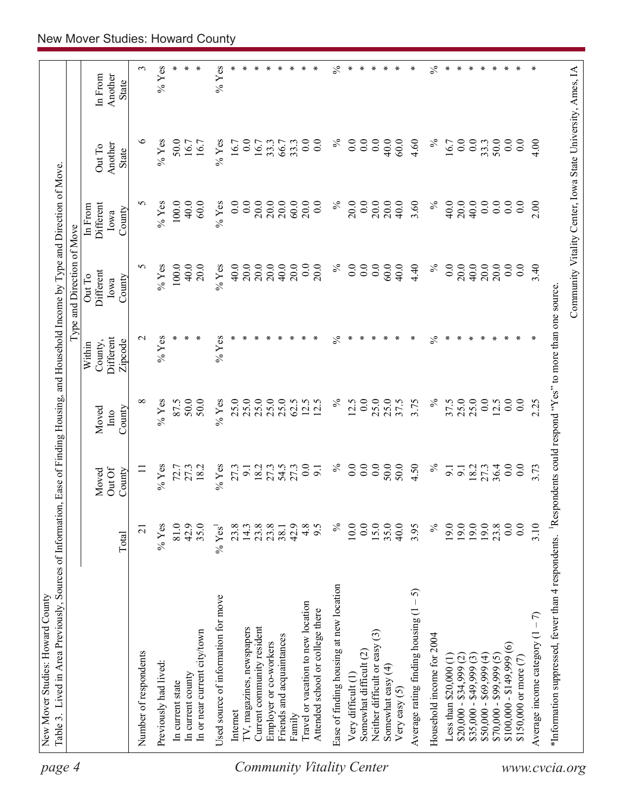| page 4                    | Table 3. Lived in Area Previously, Sources of Information, Ease of Finding Housing, and Household Income by Type and Direction of Move.<br>New Mover Studies: Howard County |                    |                         |                  |                      |                            |                      |                                                            |                  |
|---------------------------|-----------------------------------------------------------------------------------------------------------------------------------------------------------------------------|--------------------|-------------------------|------------------|----------------------|----------------------------|----------------------|------------------------------------------------------------|------------------|
|                           |                                                                                                                                                                             |                    |                         |                  |                      | Type and Direction of Move |                      |                                                            |                  |
|                           |                                                                                                                                                                             |                    | Moved                   | Moved            | County,<br>Within    | Different<br>Out To        | Different<br>In From | Out To                                                     | In From          |
|                           |                                                                                                                                                                             | Total              | Out Of<br>County        | County<br>Into   | Different<br>Zipcode | County<br>Iowa             | County<br>Iowa       | Another<br>State                                           | Another<br>State |
|                           | Number of respondents                                                                                                                                                       | $\overline{21}$    | $\equiv$                | ${}^{\circ}$     | $\mathbf{\Omega}$    | 5                          | 5                    | $\circ$                                                    | 3                |
|                           | Previously had lived:                                                                                                                                                       | $%$ Yes            | $%$ Yes                 | $%$ Yes          | $%$ Yes              | $%$ Yes                    | $%$ Yes              | $\%$ Yes                                                   | $%$ Yes          |
|                           | In current state                                                                                                                                                            | 81.0               | 72.7                    | 87.5             | ∗                    | 100.0                      | 100.0                | 50.0                                                       |                  |
|                           | In current county                                                                                                                                                           | 42.9               | 27.3                    | 50.0             |                      | 40.0                       | 40.0                 | 16.7                                                       |                  |
|                           | In or near current city/town                                                                                                                                                | 35.0               | 18.2                    | 50.0             |                      | 20.0                       | 60.0                 | 16.7                                                       |                  |
|                           | Used source of information for move                                                                                                                                         | % Yes <sup>1</sup> | $%$ Yes                 | $%$ Yes          | $%$ Yes              | $\%$ Yes                   | $%$ Yes              | $%$ Yes                                                    | $\%$ Yes         |
|                           | Internet                                                                                                                                                                    | 23.8               | 27.3                    | 25.0             |                      | 40.0                       | 0.0                  | 16.7                                                       |                  |
|                           | IV, magazines, newspapers                                                                                                                                                   | 14.3               | $\overline{5}$          | 25.0             |                      | 20.0                       | 0.0                  | 0.0                                                        |                  |
|                           | Current community resident                                                                                                                                                  | 23.8               | 18.2                    | 25.0             |                      | 20.0                       | 20.0                 | 16.7                                                       | ∗                |
|                           | Employer or co-workers                                                                                                                                                      | 23.8               | 27.3                    | 25.0             |                      | 20.0                       | 20.0                 | 33.3                                                       | ∗                |
|                           | Friends and acquaintances                                                                                                                                                   | 38.1               | 54.5                    | 25.0             | ∗                    | 40.0                       | 20.0                 | 66.7                                                       | ∗                |
|                           | Family                                                                                                                                                                      | 42.9               | 27.3                    | 62.5             |                      | 20.0                       | 60.0                 | 33.3                                                       |                  |
| Community Vitality Center | Travel or vacation to new location<br>Attended school or college there                                                                                                      | 4.8<br>9.5         | $\overline{0.0}$<br>9.1 | 12.5<br>12.5     |                      | 0.0<br>20.0                | 20.0<br>0.0          | 0.0<br>0.0                                                 |                  |
|                           | Ease of finding housing at new location                                                                                                                                     | $\%$               | $\%$                    | $\%$             | ℅                    | $\%$                       | $\%$                 | $\%$                                                       | $\%$             |
|                           |                                                                                                                                                                             |                    |                         |                  | ∗                    |                            |                      |                                                            | ⊁                |
|                           | Somewhat difficult (2)<br>Very difficult (1)                                                                                                                                | 10.0<br>0.0        | 0.0<br>0.0              | 0.0<br>12.5      |                      | 0.0<br>0.0                 | 20.0<br>0.0          | 0.0<br>0.0                                                 |                  |
|                           | ල<br>Neither difficult or easy                                                                                                                                              | 15.0               | $\overline{0.0}$        | 25.0             | ÷.                   | 0.0                        | 20.0                 | 0.0                                                        |                  |
|                           | Somewhat easy $(4)$                                                                                                                                                         | 35.0               | 50.0                    | 25.0             |                      | 60.0                       | 20.0                 | 40.0                                                       | ∗                |
|                           | Very easy $(5)$                                                                                                                                                             | 40.0               | 50.0                    | 37.5             | ∗                    | 40.0                       | 40.0                 | 60.0                                                       | ∗                |
|                           | - 5)<br>Average rating finding housing (1                                                                                                                                   | 3.95               | 4.50                    | 3.75             | ∗                    | 4.40                       | 3.60                 | 4.60                                                       | ∗                |
|                           | Household income for 2004                                                                                                                                                   | $\%$               | $\%$                    | $\%$             | $\frac{5}{6}$        | $\lesssim$                 | $\%$                 | $\%$                                                       | $\%$             |
|                           | Less than $$20,000$ (1)                                                                                                                                                     | 19.0               | 9.1                     | 37.5             | ∗                    | 0.0                        | 40.0                 | 16.7                                                       | ∗                |
|                           | $$20,000 - $34,999$ (2)                                                                                                                                                     | 19.0               | $\overline{9}$          | 25.0             | ∗                    | 20.0                       | 20.0                 | 0.0                                                        | ∗                |
|                           | $$35,000 - $49,999(3)$                                                                                                                                                      | 19.0               | 18.2                    | 25.0             | ∗                    | 40.0                       | 40.0                 | 0.0                                                        | ∗                |
|                           | $$50,000 - $69,999 (4)$<br>$$70,000 - $99,999 (5)$                                                                                                                          | 19.0               | 27.3                    | 0.0              | ∗                    | 20.0                       | 0.0                  | 33.3                                                       | ∗                |
|                           |                                                                                                                                                                             | 23.8               | 36.4                    | 12.5             |                      | 20.0                       | 0.0                  | 50.0                                                       | ∗                |
|                           | $$100,000 - $149,999(6)$                                                                                                                                                    | 0.0                | 0.0                     | 0.0              | ∗                    | 0.0                        | 0.0                  | 0.0                                                        | ∗                |
|                           | \$150,000 or more (7)                                                                                                                                                       | 0.0                | $\overline{0.0}$        | $\overline{0.0}$ |                      | 0.0                        | 0.0                  | 0.0                                                        |                  |
|                           | Average income category $(1 - 7)$                                                                                                                                           | 3.10               | 3.73                    | 2.25             |                      | 3.40                       | 2.00                 | 4.00                                                       |                  |
|                           | *Information suppressed, fewer than 4 respondents. <sup>1</sup> Respondents could respond "Yes" to more than one source.                                                    |                    |                         |                  |                      |                            |                      |                                                            |                  |
| www.cvcia.org             |                                                                                                                                                                             |                    |                         |                  |                      |                            |                      | Community Vitality Center, Iowa State University, Ames, IA |                  |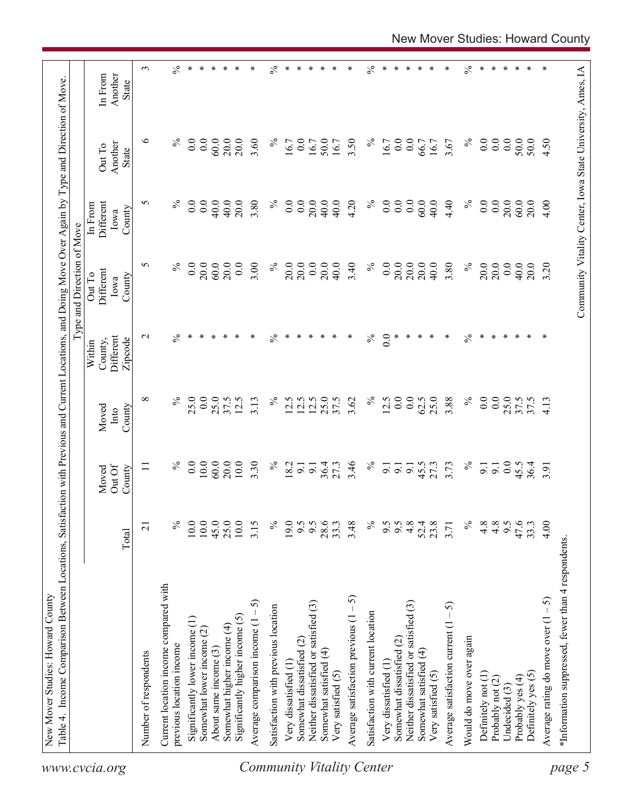|                                  | Table 4. Income Comparison Between Locations, Satisfa             |                 |                           |                         |                                           | ction with Previous and Current Locations, and Doing Move Over Again by Type and Direction of Move.<br>Type and Direction of Move |                                               |                                                            |                             |
|----------------------------------|-------------------------------------------------------------------|-----------------|---------------------------|-------------------------|-------------------------------------------|-----------------------------------------------------------------------------------------------------------------------------------|-----------------------------------------------|------------------------------------------------------------|-----------------------------|
| www.cvcia.org                    |                                                                   | Total           | Out Of<br>Moved<br>County | County<br>Moved<br>Into | Different<br>County,<br>Zipcode<br>Within | Different<br>Out To<br>County<br>Iowa                                                                                             | <b>Different</b><br>In From<br>County<br>Iowa | Another<br>Out To<br><b>State</b>                          | Another<br>In From<br>State |
|                                  | Number of respondents                                             | $\overline{21}$ | Ξ                         | $\infty$                | $\mathbf{\sim}$                           | 5                                                                                                                                 | 5                                             | $\circ$                                                    | 3                           |
|                                  |                                                                   |                 |                           |                         |                                           |                                                                                                                                   |                                               |                                                            |                             |
|                                  | Current location income compared with<br>previous location income | $\%$            | $\%$                      | $\%$                    | $\%$                                      | $\%$                                                                                                                              | $\%$                                          | $\%$                                                       | $\lesssim$                  |
|                                  | Significantly lower income (1)                                    | 10.0            | 0.0                       | 25.0                    | $\ast$                                    | 0.0                                                                                                                               | 0.0                                           | 0.0                                                        | $\ast$                      |
|                                  | Somewhat lower income (2)                                         | 10.0            | 10.0                      | 0.0                     | ∗                                         | 20.0                                                                                                                              | 0.0                                           | 0.0                                                        | $\ast$                      |
|                                  | About same income (3)                                             | 45.0            | 60.0                      | 25.0                    |                                           | 60.0                                                                                                                              | 40.0                                          | 60.0                                                       | ∗                           |
|                                  | Somewhat higher income (4)                                        | 25.0            | 20.0                      | 37.5                    | ∗                                         | 20.0                                                                                                                              | 40.0                                          | 20.0                                                       | $\ast$                      |
|                                  | Significantly higher income (5)                                   | $10.0$          | 10.0                      | 12.5                    | ∗                                         | $\overline{0.0}$                                                                                                                  | 20.0                                          | 20.0                                                       | ∗                           |
|                                  | 5<br>Average comparison income $(1 -$                             | 3.15            | 3.30                      | 3.13                    | ∗                                         | 3.00                                                                                                                              | 3.80                                          | 3.60                                                       | ∗                           |
|                                  | Satisfaction with previous location                               | $\%$            | $\%$                      | $\%$                    | $\%$                                      | $\%$                                                                                                                              | $\%$                                          | $\%$                                                       | $\%$                        |
|                                  | Very dissatisfied (1                                              | 19.0            | 18.2                      | 12.5                    | ∗                                         | 20.0                                                                                                                              | 0.0                                           | 16.7                                                       | $\ast$                      |
|                                  | Somewhat dissatisfied (2)                                         |                 | $\overline{9}$ .          | 12.5                    | ∗                                         | 20.0                                                                                                                              | 0.0                                           | 0.0                                                        | $\ast$                      |
|                                  | Neither dissatisfied or satisfied (3)                             | 9.5             | $\overline{5}$            | 12.5                    | ∗                                         | 0.0                                                                                                                               | 20.0                                          | 16.7                                                       | ∗                           |
|                                  | Somewhat satisfied (4)                                            | 28.6            | 36.4                      | 25.0                    | ∗                                         | 20.0                                                                                                                              | 40.0                                          | 50.0                                                       | ∗                           |
|                                  | Very satisfied (5)                                                | 33.3            | 27.3                      | 37.5                    | ∗                                         | 40.0                                                                                                                              | 40.0                                          | 16.7                                                       | ∗                           |
| <b>Community Vitality Center</b> | Average satisfaction previous $(1 - 5)$                           | 3.48            | 3.46                      | 3.62                    | ∗                                         | 3.40                                                                                                                              | 4.20                                          | 3.50                                                       | ∗                           |
|                                  | Satisfaction with current location                                | $\%$            | $\%$                      | $\%$                    | $\frac{5}{6}$                             | $\%$                                                                                                                              | $\%$                                          | $\%$                                                       | $\%$                        |
|                                  | Very dissatisfied (1)                                             | 9.5             | $\overline{9}$            | 12.5                    | 0.0                                       | 0.0                                                                                                                               | 0.0                                           | 16.7                                                       | ∗                           |
|                                  | Somewhat dissatisfied (2)                                         | 9.5             | 9.1                       | 0.0                     | ∗                                         | 20.0                                                                                                                              | $0.0\,$                                       | $\overline{0.0}$                                           | ∗                           |
|                                  | Neither dissatisfied or satisfied (3)                             | 4.8             | $\overline{5}$            | 0.0                     | ∗                                         | 20.0                                                                                                                              | 0.0                                           | 0.0                                                        | $\ast$                      |
|                                  | Somewhat satisfied (4)                                            | 52.4            | 45.5                      | 62.5                    | ∗                                         | 20.0                                                                                                                              | 60.0                                          | 66.7                                                       | ∗                           |
|                                  | Very satisfied (5)                                                | 23.8            | 27.3                      | 25.0                    | ∗                                         | 40.0                                                                                                                              | 40.0                                          | 16.7                                                       | ∗                           |
|                                  | Average satisfaction current $(1 - 5)$                            | 3.71            | 3.73                      | 3.88                    | ∗                                         | 3.80                                                                                                                              | 4.40                                          | 3.67                                                       | ∗                           |
|                                  | Would do move over again                                          | $\%$            | $\%$                      | $\%$                    | $\%$                                      | $\%$                                                                                                                              | $\%$                                          | $\%$                                                       | $\%$                        |
|                                  | Definitely not (1)                                                |                 | $\overline{9}$ .          | $\overline{0.0}$        | ∗                                         | 20.0                                                                                                                              | $\overline{0.0}$                              | 0.0                                                        | ∗                           |
|                                  | Probably not (2)                                                  | $4.8$<br>$4.8$  | 9.1                       | 0.0                     | $\ast$                                    | 20.0                                                                                                                              | 0.0                                           | 0.0                                                        | ∗                           |
|                                  | Undecided (3)                                                     | $9.5$<br>47.6   | 0.0                       | 25.0                    | ∗                                         | 0.0                                                                                                                               | 20.0                                          | 0.0                                                        | ∗                           |
|                                  | Probably yes (4)                                                  |                 | 45.5                      | 37.5                    | $\ast$                                    | 40.0                                                                                                                              | 60.0                                          | 50.0                                                       | $\ast$                      |
|                                  | Definitely yes (5)                                                | 33.3            | 36.4                      | 37.5                    | ∗                                         | 20.0                                                                                                                              | 20.0                                          | 50.0                                                       | ∗                           |
|                                  | Average rating do move over $(1 - 5)$                             | 4.00            | 3.91                      | 4.13                    | ∗                                         | 3.20                                                                                                                              | 4.00                                          | 4.50                                                       | ∗                           |
|                                  | *Information suppressed, fewer than 4 respondents                 |                 |                           |                         |                                           |                                                                                                                                   |                                               |                                                            |                             |
| page 5                           |                                                                   |                 |                           |                         |                                           |                                                                                                                                   |                                               | Community Vitality Center, Iowa State University, Ames, IA |                             |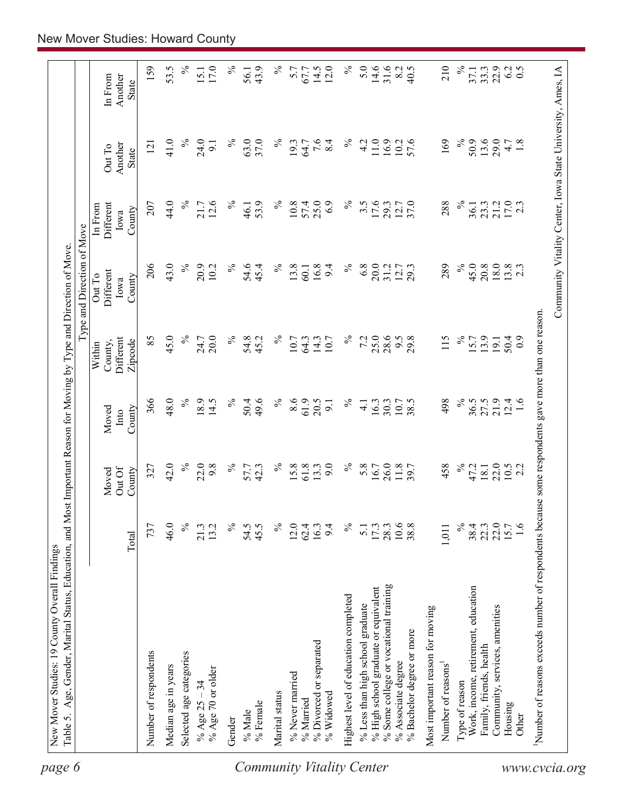| Community Vitality Center, Iowa State University, Ames, IA<br>$\%$<br>5.0<br>14.6<br>31.6<br>210<br>43.9<br>$\%$<br>5.7<br>14.5<br>12.0<br>8.2<br>40.5<br>$\%$<br>22.9<br>6.2<br>33.3<br>67.7<br>37.1<br>Another<br>In From<br>State<br>$\%$<br>24.0<br>37.0<br>$7.\overline{6}$<br>8.4<br>$\%$<br>169<br>$\%$<br>50.9<br>13.6<br>29.0<br>1.8<br>41.0<br>℅<br>63.0<br>$\%$<br>19.3<br>11.0<br>16.9<br>10.2<br>57.6<br>4.2<br>4.7<br>9.1<br>64.7<br>121<br>Another<br>Out To<br><b>State</b><br>17.0<br>2.3<br>44.0<br>$\%$<br>12.6<br>25.0<br>21.7<br>℅<br>53.9<br>$\%$<br>10.8<br>57.4<br>6.9<br>$\%$<br>3.5<br>17.6<br>29.3<br>12.7<br>37.0<br>288<br>$\%$<br>21.2<br>207<br>23.3<br>Different<br>36.1<br>46.1<br>In From<br>County<br>Iowa<br>43.0<br>206<br>$\%$<br>$\%$<br>$\%$<br>16.8<br>$\%$<br>$6.8\,$<br>20.0<br>$\%$<br>45.0<br>18.0<br>$13.8$<br>2.3<br>20.9<br>54.6<br>13.8<br>12.7<br>289<br>20.8<br>10.2<br>9.4<br>31.2<br>45.4<br>60.1<br>Different<br>Out To<br>County<br>Iowa<br>use some respondents gave more than one reason.<br>85<br>45.0<br>$\%$<br>25.0<br>20.0<br>$\%$<br>$\%$<br>$\%$<br>28.6<br>115<br>$\%$<br>24.7<br>54.8<br>10.7<br>7.2<br>9.5<br>29.8<br>15.7<br>13.9<br>50.4<br>Different<br>45.2<br>14.3<br>10.7<br>$_{0.9}$<br>64.3<br>19.1<br>Zipcode<br>County,<br>Within<br>48.0<br>$\%$<br>366<br>18.9<br>$\%$<br>$\%$<br>8.6<br>61.9<br>20.5<br>$\%$<br>$\%$<br>36.5<br>21.9<br>14.5<br>50.4<br>49.6<br>10.7<br>38.5<br>498<br>$12.4$<br>1.6<br>16.3<br>30.3<br>9.1<br>$\overline{4}$ .<br>County<br>Moved<br>Into<br>42.0<br>$\%$<br>9.0<br>$\%$<br>22.0<br>22.0<br>9.8<br>$\%$<br>$\%$<br>61.8<br>$\%$<br>5.8<br>26.0<br>11.8<br>458<br>327<br>42.3<br>15.8<br>13.3<br>16.7<br>47.2<br>$10.5$<br>2.2<br>18.1<br>57.7<br>Out Of<br>County<br>Moved<br>Number of reasons exceeds number of respondents beca<br>22.0<br>46.0<br>$\frac{5}{6}$<br>$\%$<br>$\%$<br>$\%$<br>10.6<br>$\%$<br>15.7<br>$\frac{6}{1}$<br>737<br>21.3<br>13.2<br>54.5<br>45.5<br>12.0<br>62.4<br>16.3<br>9.4<br>17.3<br>28.3<br>38.8<br>$38.4$<br>22.3<br>1,011<br>$\overline{5}$ .<br>Total<br>% Some college or vocational training<br>% High school graduate or equivalent<br>Work, income, retirement, education<br>Highest level of education completed<br>% Less than high school graduate<br>Community, services, amenities<br>Most important reason for moving<br>% Bachelor degree or more<br>% Divorced or separated<br>Family, friends, health<br>Number of respondents<br>Selected age categories<br>% Associate degree<br>Number of reasons <sup>1</sup><br>Median age in years<br>% Age 70 or older<br>% Never married<br>% Age $25 - 34$<br>Type of reason<br>Marital status<br>% Widowed<br>% Married<br>% Female<br>Housing<br>% Male<br>Other<br>Gender |  |  | Type and Direction of Move |  |                  |
|------------------------------------------------------------------------------------------------------------------------------------------------------------------------------------------------------------------------------------------------------------------------------------------------------------------------------------------------------------------------------------------------------------------------------------------------------------------------------------------------------------------------------------------------------------------------------------------------------------------------------------------------------------------------------------------------------------------------------------------------------------------------------------------------------------------------------------------------------------------------------------------------------------------------------------------------------------------------------------------------------------------------------------------------------------------------------------------------------------------------------------------------------------------------------------------------------------------------------------------------------------------------------------------------------------------------------------------------------------------------------------------------------------------------------------------------------------------------------------------------------------------------------------------------------------------------------------------------------------------------------------------------------------------------------------------------------------------------------------------------------------------------------------------------------------------------------------------------------------------------------------------------------------------------------------------------------------------------------------------------------------------------------------------------------------------------------------------------------------------------------------------------------------------------------------------------------------------------------------------------------------------------------------------------------------------------------------------------------------------------------------------------------------------------------------------------------------------------------------------------------------------------------------------------------------------------------------------------------------------------------------------------------------------------------------------------------------------------------------------------------------------------------------------|--|--|----------------------------|--|------------------|
|                                                                                                                                                                                                                                                                                                                                                                                                                                                                                                                                                                                                                                                                                                                                                                                                                                                                                                                                                                                                                                                                                                                                                                                                                                                                                                                                                                                                                                                                                                                                                                                                                                                                                                                                                                                                                                                                                                                                                                                                                                                                                                                                                                                                                                                                                                                                                                                                                                                                                                                                                                                                                                                                                                                                                                                          |  |  |                            |  |                  |
|                                                                                                                                                                                                                                                                                                                                                                                                                                                                                                                                                                                                                                                                                                                                                                                                                                                                                                                                                                                                                                                                                                                                                                                                                                                                                                                                                                                                                                                                                                                                                                                                                                                                                                                                                                                                                                                                                                                                                                                                                                                                                                                                                                                                                                                                                                                                                                                                                                                                                                                                                                                                                                                                                                                                                                                          |  |  |                            |  | 159              |
|                                                                                                                                                                                                                                                                                                                                                                                                                                                                                                                                                                                                                                                                                                                                                                                                                                                                                                                                                                                                                                                                                                                                                                                                                                                                                                                                                                                                                                                                                                                                                                                                                                                                                                                                                                                                                                                                                                                                                                                                                                                                                                                                                                                                                                                                                                                                                                                                                                                                                                                                                                                                                                                                                                                                                                                          |  |  |                            |  | 53.5             |
|                                                                                                                                                                                                                                                                                                                                                                                                                                                                                                                                                                                                                                                                                                                                                                                                                                                                                                                                                                                                                                                                                                                                                                                                                                                                                                                                                                                                                                                                                                                                                                                                                                                                                                                                                                                                                                                                                                                                                                                                                                                                                                                                                                                                                                                                                                                                                                                                                                                                                                                                                                                                                                                                                                                                                                                          |  |  |                            |  | $\%$             |
|                                                                                                                                                                                                                                                                                                                                                                                                                                                                                                                                                                                                                                                                                                                                                                                                                                                                                                                                                                                                                                                                                                                                                                                                                                                                                                                                                                                                                                                                                                                                                                                                                                                                                                                                                                                                                                                                                                                                                                                                                                                                                                                                                                                                                                                                                                                                                                                                                                                                                                                                                                                                                                                                                                                                                                                          |  |  |                            |  | 17.0<br>15.1     |
|                                                                                                                                                                                                                                                                                                                                                                                                                                                                                                                                                                                                                                                                                                                                                                                                                                                                                                                                                                                                                                                                                                                                                                                                                                                                                                                                                                                                                                                                                                                                                                                                                                                                                                                                                                                                                                                                                                                                                                                                                                                                                                                                                                                                                                                                                                                                                                                                                                                                                                                                                                                                                                                                                                                                                                                          |  |  |                            |  | $\%$             |
|                                                                                                                                                                                                                                                                                                                                                                                                                                                                                                                                                                                                                                                                                                                                                                                                                                                                                                                                                                                                                                                                                                                                                                                                                                                                                                                                                                                                                                                                                                                                                                                                                                                                                                                                                                                                                                                                                                                                                                                                                                                                                                                                                                                                                                                                                                                                                                                                                                                                                                                                                                                                                                                                                                                                                                                          |  |  |                            |  | 56.1             |
|                                                                                                                                                                                                                                                                                                                                                                                                                                                                                                                                                                                                                                                                                                                                                                                                                                                                                                                                                                                                                                                                                                                                                                                                                                                                                                                                                                                                                                                                                                                                                                                                                                                                                                                                                                                                                                                                                                                                                                                                                                                                                                                                                                                                                                                                                                                                                                                                                                                                                                                                                                                                                                                                                                                                                                                          |  |  |                            |  |                  |
|                                                                                                                                                                                                                                                                                                                                                                                                                                                                                                                                                                                                                                                                                                                                                                                                                                                                                                                                                                                                                                                                                                                                                                                                                                                                                                                                                                                                                                                                                                                                                                                                                                                                                                                                                                                                                                                                                                                                                                                                                                                                                                                                                                                                                                                                                                                                                                                                                                                                                                                                                                                                                                                                                                                                                                                          |  |  |                            |  |                  |
|                                                                                                                                                                                                                                                                                                                                                                                                                                                                                                                                                                                                                                                                                                                                                                                                                                                                                                                                                                                                                                                                                                                                                                                                                                                                                                                                                                                                                                                                                                                                                                                                                                                                                                                                                                                                                                                                                                                                                                                                                                                                                                                                                                                                                                                                                                                                                                                                                                                                                                                                                                                                                                                                                                                                                                                          |  |  |                            |  |                  |
|                                                                                                                                                                                                                                                                                                                                                                                                                                                                                                                                                                                                                                                                                                                                                                                                                                                                                                                                                                                                                                                                                                                                                                                                                                                                                                                                                                                                                                                                                                                                                                                                                                                                                                                                                                                                                                                                                                                                                                                                                                                                                                                                                                                                                                                                                                                                                                                                                                                                                                                                                                                                                                                                                                                                                                                          |  |  |                            |  |                  |
|                                                                                                                                                                                                                                                                                                                                                                                                                                                                                                                                                                                                                                                                                                                                                                                                                                                                                                                                                                                                                                                                                                                                                                                                                                                                                                                                                                                                                                                                                                                                                                                                                                                                                                                                                                                                                                                                                                                                                                                                                                                                                                                                                                                                                                                                                                                                                                                                                                                                                                                                                                                                                                                                                                                                                                                          |  |  |                            |  |                  |
|                                                                                                                                                                                                                                                                                                                                                                                                                                                                                                                                                                                                                                                                                                                                                                                                                                                                                                                                                                                                                                                                                                                                                                                                                                                                                                                                                                                                                                                                                                                                                                                                                                                                                                                                                                                                                                                                                                                                                                                                                                                                                                                                                                                                                                                                                                                                                                                                                                                                                                                                                                                                                                                                                                                                                                                          |  |  |                            |  |                  |
|                                                                                                                                                                                                                                                                                                                                                                                                                                                                                                                                                                                                                                                                                                                                                                                                                                                                                                                                                                                                                                                                                                                                                                                                                                                                                                                                                                                                                                                                                                                                                                                                                                                                                                                                                                                                                                                                                                                                                                                                                                                                                                                                                                                                                                                                                                                                                                                                                                                                                                                                                                                                                                                                                                                                                                                          |  |  |                            |  |                  |
|                                                                                                                                                                                                                                                                                                                                                                                                                                                                                                                                                                                                                                                                                                                                                                                                                                                                                                                                                                                                                                                                                                                                                                                                                                                                                                                                                                                                                                                                                                                                                                                                                                                                                                                                                                                                                                                                                                                                                                                                                                                                                                                                                                                                                                                                                                                                                                                                                                                                                                                                                                                                                                                                                                                                                                                          |  |  |                            |  |                  |
|                                                                                                                                                                                                                                                                                                                                                                                                                                                                                                                                                                                                                                                                                                                                                                                                                                                                                                                                                                                                                                                                                                                                                                                                                                                                                                                                                                                                                                                                                                                                                                                                                                                                                                                                                                                                                                                                                                                                                                                                                                                                                                                                                                                                                                                                                                                                                                                                                                                                                                                                                                                                                                                                                                                                                                                          |  |  |                            |  |                  |
|                                                                                                                                                                                                                                                                                                                                                                                                                                                                                                                                                                                                                                                                                                                                                                                                                                                                                                                                                                                                                                                                                                                                                                                                                                                                                                                                                                                                                                                                                                                                                                                                                                                                                                                                                                                                                                                                                                                                                                                                                                                                                                                                                                                                                                                                                                                                                                                                                                                                                                                                                                                                                                                                                                                                                                                          |  |  |                            |  |                  |
|                                                                                                                                                                                                                                                                                                                                                                                                                                                                                                                                                                                                                                                                                                                                                                                                                                                                                                                                                                                                                                                                                                                                                                                                                                                                                                                                                                                                                                                                                                                                                                                                                                                                                                                                                                                                                                                                                                                                                                                                                                                                                                                                                                                                                                                                                                                                                                                                                                                                                                                                                                                                                                                                                                                                                                                          |  |  |                            |  |                  |
|                                                                                                                                                                                                                                                                                                                                                                                                                                                                                                                                                                                                                                                                                                                                                                                                                                                                                                                                                                                                                                                                                                                                                                                                                                                                                                                                                                                                                                                                                                                                                                                                                                                                                                                                                                                                                                                                                                                                                                                                                                                                                                                                                                                                                                                                                                                                                                                                                                                                                                                                                                                                                                                                                                                                                                                          |  |  |                            |  |                  |
|                                                                                                                                                                                                                                                                                                                                                                                                                                                                                                                                                                                                                                                                                                                                                                                                                                                                                                                                                                                                                                                                                                                                                                                                                                                                                                                                                                                                                                                                                                                                                                                                                                                                                                                                                                                                                                                                                                                                                                                                                                                                                                                                                                                                                                                                                                                                                                                                                                                                                                                                                                                                                                                                                                                                                                                          |  |  |                            |  |                  |
|                                                                                                                                                                                                                                                                                                                                                                                                                                                                                                                                                                                                                                                                                                                                                                                                                                                                                                                                                                                                                                                                                                                                                                                                                                                                                                                                                                                                                                                                                                                                                                                                                                                                                                                                                                                                                                                                                                                                                                                                                                                                                                                                                                                                                                                                                                                                                                                                                                                                                                                                                                                                                                                                                                                                                                                          |  |  |                            |  |                  |
|                                                                                                                                                                                                                                                                                                                                                                                                                                                                                                                                                                                                                                                                                                                                                                                                                                                                                                                                                                                                                                                                                                                                                                                                                                                                                                                                                                                                                                                                                                                                                                                                                                                                                                                                                                                                                                                                                                                                                                                                                                                                                                                                                                                                                                                                                                                                                                                                                                                                                                                                                                                                                                                                                                                                                                                          |  |  |                            |  |                  |
|                                                                                                                                                                                                                                                                                                                                                                                                                                                                                                                                                                                                                                                                                                                                                                                                                                                                                                                                                                                                                                                                                                                                                                                                                                                                                                                                                                                                                                                                                                                                                                                                                                                                                                                                                                                                                                                                                                                                                                                                                                                                                                                                                                                                                                                                                                                                                                                                                                                                                                                                                                                                                                                                                                                                                                                          |  |  |                            |  |                  |
|                                                                                                                                                                                                                                                                                                                                                                                                                                                                                                                                                                                                                                                                                                                                                                                                                                                                                                                                                                                                                                                                                                                                                                                                                                                                                                                                                                                                                                                                                                                                                                                                                                                                                                                                                                                                                                                                                                                                                                                                                                                                                                                                                                                                                                                                                                                                                                                                                                                                                                                                                                                                                                                                                                                                                                                          |  |  |                            |  | $\overline{0.5}$ |
|                                                                                                                                                                                                                                                                                                                                                                                                                                                                                                                                                                                                                                                                                                                                                                                                                                                                                                                                                                                                                                                                                                                                                                                                                                                                                                                                                                                                                                                                                                                                                                                                                                                                                                                                                                                                                                                                                                                                                                                                                                                                                                                                                                                                                                                                                                                                                                                                                                                                                                                                                                                                                                                                                                                                                                                          |  |  |                            |  |                  |
|                                                                                                                                                                                                                                                                                                                                                                                                                                                                                                                                                                                                                                                                                                                                                                                                                                                                                                                                                                                                                                                                                                                                                                                                                                                                                                                                                                                                                                                                                                                                                                                                                                                                                                                                                                                                                                                                                                                                                                                                                                                                                                                                                                                                                                                                                                                                                                                                                                                                                                                                                                                                                                                                                                                                                                                          |  |  |                            |  |                  |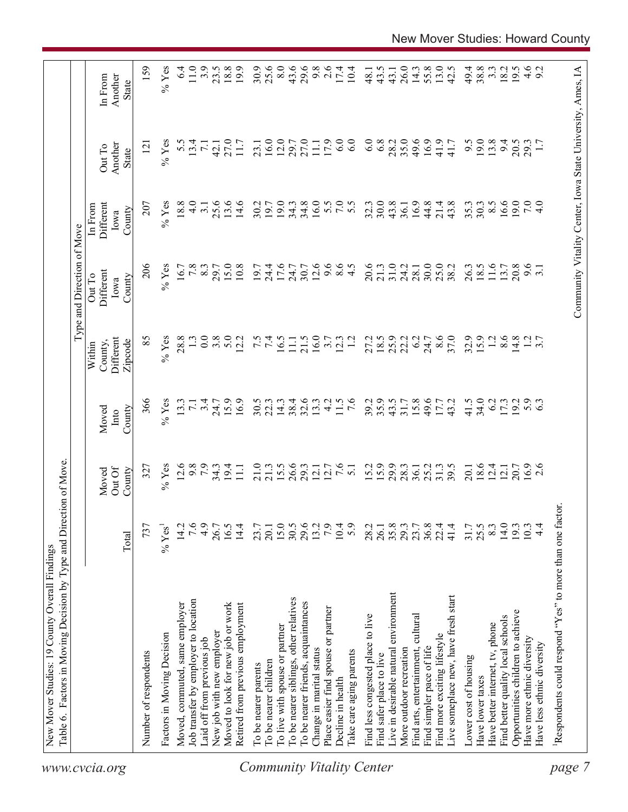| www.cvcia.org                    | Table 6. Factors in Moving Decision by Type and Direction of Move. |                  |                           |                         | Within                          | Type and Direction of Move<br>Out To | In From                     |                                                            |                                    |
|----------------------------------|--------------------------------------------------------------------|------------------|---------------------------|-------------------------|---------------------------------|--------------------------------------|-----------------------------|------------------------------------------------------------|------------------------------------|
|                                  |                                                                    | Total            | Out Of<br>County<br>Moved | County<br>Moved<br>Into | Different<br>Zipcode<br>County, | Different<br>County<br>Iowa          | Different<br>County<br>Iowa | Another<br>Out To<br>State                                 | Another<br>In From<br><b>State</b> |
|                                  | Number of respondents                                              | 737              | 327                       | 366                     | 85                              | 206                                  | 207                         | $\overline{121}$                                           | 159                                |
|                                  | Factors in Moving Decision                                         | $%$ Yes          | $%$ Yes                   | $%$ Yes                 | $%$ Yes                         | $%$ Yes                              | $%$ Yes                     | $%$ Yes                                                    | $%$ Yes                            |
|                                  | Moved, commuted, same employer                                     | 14.2             | 12.6                      | 13.3                    | 28.8                            | 16.7                                 | 18.8                        | 5.5                                                        | $6\dot{4}$                         |
|                                  | Job transfer by employer to location                               | 7.6              | 9.8                       | $\overline{7.1}$        |                                 | 7.8                                  | $\frac{0}{4}$               | 13.4                                                       | $11.0$                             |
|                                  | Laid off from previous job                                         | 4.9              | 7.9                       | 3.4                     | 0.0                             | 8.3                                  | $\overline{3}$ .            | $\overline{7.1}$                                           | 3.9                                |
|                                  | New job with new employer                                          | 26.7             |                           | 24.7                    | 3.8                             | 29.7                                 | 25.6                        | 42.1                                                       | 23.5                               |
|                                  | Moved to look for new job or work                                  | 16.5             | $34.3$<br>19.4            | 15.9                    | 5.0                             | 15.0                                 | 13.6                        | 27.0                                                       | 18.8                               |
|                                  | Retired from previous employment                                   | 14.4             | $\overline{111}$          | 16.9                    | 12.2                            | 10.8                                 | 14.6                        | 11.7                                                       | 19.9                               |
|                                  | To be nearer parents                                               | 23.7             | 21.0                      | 30.5                    |                                 | 19.7                                 | 30.2                        | 23.1                                                       | 30.9                               |
|                                  | To be nearer children                                              | 20.1             | 21.3                      | 22.3                    | $7.\overline{5}$                | 24.4                                 | 19.7                        | 16.0                                                       | 25.6                               |
|                                  | To live with spouse or partner                                     |                  | 15.5                      | 14.3                    | 16.5                            | 17.6                                 | 19.0                        | 12.0                                                       | 8.0                                |
|                                  | To be nearer siblings, other relatives                             | 15.0<br>30.5     | 26.6                      | 38.4                    | $\Box$                          | 24.7                                 | 34.3                        | 29.7                                                       | 43.6                               |
|                                  | To be nearer friends, acquaintances                                | 29.6             | 29.3                      | 32.6                    | 21.5                            | 30.7                                 | 34.8                        | 27.0                                                       | 29.6                               |
|                                  | Change in marital status                                           | 13.2             | 12.1                      | 13.3                    | 16.0                            | 12.6                                 | 16.0                        | 11.1                                                       | 9.8                                |
|                                  | Place easier find spouse or partner                                | 7.9              | 12.7                      | 4.2                     | 3.7                             | 9.6                                  |                             | 17.9                                                       | 2.6                                |
|                                  | Decline in health                                                  | 10.4             | 7.6                       | 11.5                    | 12.3                            | 8.5                                  | 5.5                         | 6.0                                                        | 17.4                               |
| <b>Community Vitality Center</b> | Take care aging parents                                            | 5.9              | $\overline{51}$           | $\frac{6}{7}$           |                                 |                                      | 5.5                         | 6.0                                                        | 10.4                               |
|                                  | Find less congested place to live                                  | 28.2             | 15.2                      | 39.2                    | 27.2                            | 20.6                                 | 32.3                        | 6.0                                                        | 48.1                               |
|                                  | Find safer place to live                                           | 26.1             | 15.9                      | 35.9                    |                                 | 21.3                                 | 30.0                        | 6.8                                                        | 43.5                               |
|                                  | Live in desirable natural environment                              | 35.8             | 29.9                      | 43.5                    | $18.5$<br>25.9                  | 31.0                                 | 43.8                        | 28.2                                                       | 43.1                               |
|                                  | More outdoor recreation                                            | 29.3             | 28.3                      | $31.7$<br>$15.8$        | 22.2                            | 24.2                                 | 36.1                        | 35.0                                                       | 26.0                               |
|                                  | Find arts, entertainment, cultural                                 | 23.7             | 36.1                      |                         | 6.2                             | 28.1                                 | 16.9                        | 49.6                                                       | 14.3                               |
|                                  | Find simpler pace of life                                          | $36.8$<br>$22.4$ | 25.2                      | 49.6                    | 24.7                            | 30.0                                 | 44.8                        | 16.9                                                       | 55.8                               |
|                                  | Find more exciting lifestyle                                       |                  | 31.3                      | 17.7                    | 8.6                             | 25.0                                 | 21.4                        | 41.9                                                       | 13.0                               |
|                                  | Live someplace new, have fresh start                               | 41.4             | 39.5                      | 43.2                    | 37.0                            | 38.2                                 | 43.8                        | 41.7                                                       | 42.5                               |
|                                  | Lower cost of housing                                              | 31.7             | 20.1                      | 41.5                    | 32.9                            | 26.3                                 | 35.3                        | 9.5                                                        | 49.4                               |
|                                  | Have lower taxes                                                   | 25.5             | 18.6                      | 34.0                    | 15.9                            | 18.5                                 | 30.3                        | 19.0                                                       | 38.8                               |
|                                  | Have better internet, tv, phone                                    | 8.3              | 12.4                      | 6.2                     | 1.2                             | 11.6                                 | $8.\overline{5}$            | 13.8                                                       | $3.\overline{3}$                   |
|                                  | Find better quality local schools                                  | 14.0             | 12.1                      | 17.3                    | 8.6                             | 13.7                                 | 16.6                        | 9.4                                                        | 18.2                               |
|                                  | Opportunities children to achieve                                  | 19.3             |                           | 19.2                    | 14.8                            | 20.8                                 | 19.0                        | 20.5                                                       | 19.5                               |
|                                  | Have more ethnic diversity                                         | 10.3             | 20.7<br>16.9              | 5.9                     |                                 | $9.\overline{6}$<br>3.1              | 7.0                         | 29.3                                                       |                                    |
|                                  | Have less ethnic diversity                                         | $4\overline{4}$  | 2.6                       |                         | $\frac{2}{3}$ .7                |                                      | 4.0                         |                                                            | $4.6$<br>9.2                       |
| page                             | Respondents could respond "Yes" to more than one factor            |                  |                           |                         |                                 |                                      |                             |                                                            |                                    |
|                                  |                                                                    |                  |                           |                         |                                 |                                      |                             |                                                            |                                    |
|                                  |                                                                    |                  |                           |                         |                                 |                                      |                             | Community Vitality Center, Iowa State University, Ames, IA |                                    |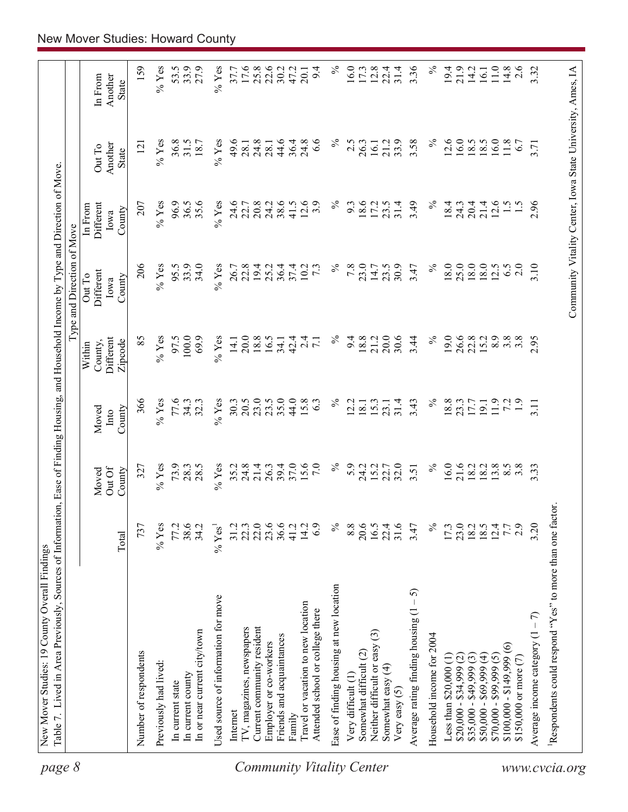| page 8                           | Table 7. Lived in Area Previously, Sources of Information, Ease of Finding Housing, and Household Income by Type and Direction of Move |                  |                           |                         |                                           | Type and Direction of Move                                 |                                        |                                   |                             |
|----------------------------------|----------------------------------------------------------------------------------------------------------------------------------------|------------------|---------------------------|-------------------------|-------------------------------------------|------------------------------------------------------------|----------------------------------------|-----------------------------------|-----------------------------|
|                                  |                                                                                                                                        | Total            | Out Of<br>County<br>Moved | County<br>Moved<br>Into | Different<br>Zipcode<br>County,<br>Within | Different<br>Out To<br>County<br>Iowa                      | Different<br>In From<br>County<br>Iowa | Another<br>Out To<br><b>State</b> | Another<br>In From<br>State |
|                                  | Number of respondents                                                                                                                  | 737              | 327                       | 366                     | 85                                        | 206                                                        | 207                                    | $\overline{2}$                    | 159                         |
|                                  | Previously had lived:                                                                                                                  | $%$ Yes          | $%$ Yes                   | $%$ Yes                 | $\%$ Yes                                  | $%$ Yes                                                    | $\%$ Yes                               | $\%$ Yes                          | $\%$ Yes                    |
|                                  | In current state                                                                                                                       | 77.2             | 73.9                      | 77.6                    | 97.5                                      | 95.5                                                       | 96.9                                   | 36.8                              | 53.5                        |
|                                  | In current county                                                                                                                      | 38.6             | 28.3                      | 34.3                    | 100.0                                     | 33.9                                                       | 36.5                                   | 31.5                              | 33.9                        |
|                                  | In or near current city/town                                                                                                           | 34.2             | 28.5                      | 32.3                    | 69.9                                      | 34.0                                                       | 35.6                                   | 18.7                              | 27.9                        |
|                                  | Used source of information for move                                                                                                    | $% \text{Yes}^1$ | $%$ Yes                   | $%$ Yes                 | $%$ Yes                                   | $%$ Yes                                                    | $%$ Yes                                | $%$ Yes                           | $%$ Yes                     |
|                                  | Internet                                                                                                                               | 31.2             | 35.2                      | 30.3                    | 14.1                                      | 26.7                                                       | 24.6                                   | 49.6                              | 37.7                        |
|                                  | TV, magazines, newspapers                                                                                                              | 22.3             | 24.8                      | 20.5                    | 20.0                                      | 22.8                                                       | 22.7                                   | 28.1                              | 17.6                        |
|                                  | Current community resident                                                                                                             | 22.0             | 21.4                      | 23.0                    | 18.8                                      | 19.4                                                       | 20.8                                   | 24.8                              | 25.8                        |
|                                  | Employer or co-workers                                                                                                                 | 23.6             | 26.3                      | 23.5                    | 16.5                                      | 25.2                                                       | 24.2                                   | 28.1                              | 22.6                        |
|                                  | Friends and acquaintances                                                                                                              |                  | 39.4                      | 35.0                    | 34.1                                      | 36.4                                                       | 38.6                                   | 44.6                              | 30.2                        |
|                                  | Family                                                                                                                                 | 41.2             | 37.0                      | 44.0                    | 42.4                                      | 37.4                                                       | 41.5                                   | 36.4                              | 47.2                        |
|                                  | Travel or vacation to new location                                                                                                     | 14.2             | 15.6                      | 15.8                    | $\overline{c}$                            | 10.2                                                       | 12.6                                   | 24.8                              | 20.1                        |
|                                  | Attended school or college there                                                                                                       | 6.9              | 7.0                       | 63                      | $\overline{7.1}$                          | $7\cdot$                                                   | 3.9                                    | $\frac{8}{3}$                     | 9.4                         |
| <b>Community Vitality Center</b> | Ease of finding housing at new location                                                                                                | $\%$             | $\%$                      | $\%$                    | $\%$                                      | $\%$                                                       | $\%$                                   | ℅                                 | $\%$                        |
|                                  | Very difficult (1)                                                                                                                     | 8.8              | 5.9                       | 2.2                     | 9.4                                       | 7.8                                                        | 9.3                                    | 2.5                               | 16.0                        |
|                                  | Somewhat difficult (2)                                                                                                                 | 20.6             | 24.2                      | 18.1                    | 18.8                                      | 23.0                                                       | 18.6                                   | 26.3                              | 17.3                        |
|                                  | Neither difficult or easy (3)                                                                                                          | 16.5             | 15.2                      | 15.3                    | 21.2                                      | 14.7                                                       | 17.2                                   | 16.1                              | 12.8                        |
|                                  | Somewhat easy (4)<br>Very easy $(5)$                                                                                                   | 22.4<br>31.6     | 22.7<br>32.0              | 31.4<br>23.1            | 20.0<br>30.6                              | 30.9<br>23.5                                               | 31.4<br>23.5                           | 33.9<br>21.2                      | 31.4<br>22.4                |
|                                  | $-5$<br>Average rating finding housing (1                                                                                              | 3.47             | 3.51                      | 3.43                    | 3.44                                      | 3.47                                                       | 3.49                                   | 3.58                              | 3.36                        |
|                                  | Household income for 2004                                                                                                              | $\%$             | $\%$                      | $\%$                    | $\%$                                      | $\%$                                                       | $\%$                                   | $\%$                              | $\%$                        |
|                                  | Less than $$20,000$ (1)                                                                                                                | 17.3             | 16.0                      | 18.8                    | 19.0                                      | $18.0\,$                                                   | 18.4                                   | 12.6                              | 19.4                        |
|                                  | $$20,000 - $34,999$ (2)                                                                                                                | 23.0             |                           | 23.3                    | 26.6                                      | 25.0                                                       | 24.3                                   | 16.0                              | 21.9                        |
|                                  | $$35,000 - $49,999(3)$                                                                                                                 | $18.2$<br>$18.5$ | 21.6<br>18.2              | 17.7                    | 22.8                                      | 18.0                                                       | 20.4                                   | 18.5                              | 14.2                        |
|                                  | $$50,000 - $69,999 (4)$                                                                                                                |                  | 18.2                      | 19.1                    | 15.2                                      | 18.0                                                       | 21.4                                   | 18.5                              | 16.1                        |
|                                  | $$70,000 - $99,999(5)$                                                                                                                 | 12.4             | 13.8                      | 11.9                    | 8.9                                       | 12.5                                                       | 12.6                                   | 16.0                              | 11.0                        |
|                                  | $$100,000 - $149,999(6)$                                                                                                               | 7.7              | 8.5                       | 72                      | 3.8                                       | 6.5                                                        | $\frac{1.5}{2}$                        | 11.8                              | 14.8                        |
|                                  | \$150,000 or more (7)                                                                                                                  | 2.9              | $3.\overline{8}$          | $\ddot{1}$ .            | $3.\overline{8}$                          | 2.0                                                        |                                        | 6.7                               | 2.6                         |
|                                  | Average income category $(1 - 7)$                                                                                                      | 3.20             | 3.33                      | 3.11                    | 2.95                                      | 3.10                                                       | 2.96                                   | 3.71                              | 3.32                        |
| www.cvcia.org                    | Respondents could respond "Yes" to more than one factor.                                                                               |                  |                           |                         |                                           |                                                            |                                        |                                   |                             |
|                                  |                                                                                                                                        |                  |                           |                         |                                           | Community Vitality Center, Iowa State University, Ames, IA |                                        |                                   |                             |
|                                  |                                                                                                                                        |                  |                           |                         |                                           |                                                            |                                        |                                   |                             |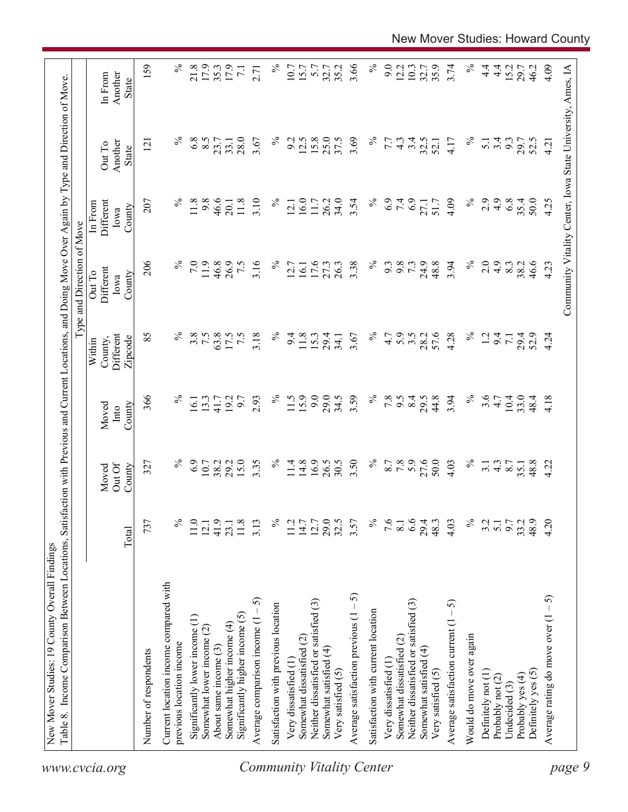|                                                                 |                  |                           |                         |                                           | Type and Direction of Move            |                                                            |                                   |                                    |
|-----------------------------------------------------------------|------------------|---------------------------|-------------------------|-------------------------------------------|---------------------------------------|------------------------------------------------------------|-----------------------------------|------------------------------------|
|                                                                 | Total            | Out Of<br>County<br>Moved | County<br>Moved<br>Into | Different<br>County,<br>Zipcode<br>Within | Different<br>Out To<br>County<br>Iowa | Different<br>In From<br>County<br>Iowa                     | Another<br>Out To<br><b>State</b> | Another<br>In From<br><b>State</b> |
| Number of respondents                                           | 737              | 327                       | 366                     | 85                                        | 206                                   | 207                                                        | $\overline{2}$                    | 159                                |
| Current location income compared with                           |                  |                           |                         |                                           |                                       |                                                            |                                   |                                    |
| previous location income                                        | ℅                | ℅                         | $\%$                    | $\%$                                      |                                       | $\%$                                                       |                                   | $\%$                               |
| Significantly lower income (1)                                  | 11.0             | 6.9                       | 16.1                    | 3.8                                       | 7.0                                   | 11.8                                                       | 6.8                               | 21.8                               |
| Somewhat lower income (2)                                       | 12.1             | 10.7<br>38.2              | 13.3                    | 7.5                                       | 11.9                                  | 9.8                                                        | 8.5                               | 17.9                               |
| About same income (3)                                           | 41.9             |                           | 41.7                    | 63.8                                      | 46.8                                  | 46.6                                                       | 23.7                              | 35.3                               |
| Significantly higher income $(5)$<br>Somewhat higher income (4) | 11.8<br>23.1     | 15.0<br>29.2              | 19.2<br>6.7             | 7.5<br>17.5                               | 26.9<br>7.5                           | 11.8<br>20.1                                               | 28.0<br>33.1                      | 17.9<br>$\overline{71}$            |
| 5<br>Average comparison income $(1 -$                           | 3.13             | 3.35                      | 2.93                    | 3.18                                      | 3.16                                  | 3.10                                                       | 3.67                              | 2.71                               |
|                                                                 |                  | $\%$                      | $\%$                    | $\%$                                      | $\%$                                  | $\%$                                                       | $\%$                              | $\%$                               |
| Satisfaction with previous location                             | ℅                |                           |                         |                                           |                                       |                                                            |                                   |                                    |
| Very dissatisfied (1                                            | 11.2             | 11.4                      | 11.5                    | 9.4                                       | 12.7                                  | 12.1                                                       | 9.2                               | 10.7                               |
| Somewhat dissatisfied (2)                                       | 14.7             | 14.8                      | 15.9                    | 11.8                                      | 16.1                                  | 16.0                                                       | 12.5                              | 15.7                               |
| Neither dissatisfied or satisfied (3)                           | 12.7             | 16.9                      | 9.0                     | 15.3                                      | 17.6                                  | 11.7                                                       | 15.8                              | 5.7                                |
| Somewhat satisfied (4)                                          | 29.5             | 26.5                      | 29.0                    | 29.4                                      | 27.3                                  | 26.2                                                       | 25.0                              | 32.7                               |
| Very satisfied (5)                                              |                  | 30.5                      | 34.5                    | 34.1                                      | 26.3                                  | 34.0                                                       | 37.5                              | 35.2                               |
| Average satisfaction previous $(1 - 5)$                         | 3.57             | 3.50                      | 3.59                    | 3.67                                      | 3.38                                  | 3.54                                                       | 3.69                              | 3.66                               |
| Satisfaction with current location                              | $\%$             | $\%$                      | $\%$                    | $\%$                                      | $\%$                                  | $\%$                                                       | $\%$                              | $\%$                               |
| Very dissatisfied (1                                            | 9.6              |                           | 7.8                     | 4.7                                       | 9.3                                   | 6.9                                                        | 7.7                               | 9.0                                |
| Somewhat dissatisfied (2)                                       | 8.1              | 8.7<br>7.8                | 9.5                     | 5.9                                       | 9.8                                   | 7.4                                                        | $4.\overline{3}$                  | 12.2                               |
| Neither dissatisfied or satisfied (3)                           | 6.6              | 5.9                       | 8.4                     | $3.5$<br>$28.2$                           | 73                                    |                                                            | 3.4                               | 10.3                               |
| Somewhat satisfied (4)                                          | 29.4             | 27.6                      | 29.5                    |                                           | 24.9                                  | 27.1                                                       | 32.5                              | 32.7                               |
| Very satisfied (5)                                              | 48.3             | 50.0                      | 44.8                    | 57.6                                      | 48.8                                  | 51.7                                                       | 52.1                              | 35.9                               |
| Average satisfaction current $(1 - 5)$                          | 4.03             | 4.03                      | 3.94                    | 4.28                                      | 3.94                                  | 4.09                                                       | 4.17                              | 3.74                               |
| Would do move over again                                        | $\%$             | $\%$                      | $\%$                    | $\%$                                      | $\%$                                  | $\%$                                                       | $\%$                              | $\%$                               |
| Definitely not (1)                                              | 3.2              | $\overline{3}$ .          | 3.6                     | $\overline{5}$                            | 2.0                                   | 2.9                                                        | $\overline{5.1}$                  | $\frac{4}{1}$                      |
| Probably not (2)                                                | $\overline{5.1}$ | $4.\overline{3}$          | 4.7                     | 9.4                                       | 4.9                                   | 4.9                                                        | 3.4                               | $\frac{4}{1}$                      |
| Undecided (3)                                                   | 9.7              | 8.7                       | 10.4                    | $\overline{71}$                           | 8.3                                   | 6.8                                                        | 9.3                               | 15.2                               |
| Probably yes (4)                                                | 33.2             | 35.1                      | 33.0                    | 29.4<br>52.9                              | 38.2                                  | 35.4                                                       | 29.7                              | 29.7                               |
| Definitely yes (5)                                              | 48.9             | 48.8                      | 48.4                    |                                           | 46.6                                  | 50.0                                                       | 52.5                              | 46.2                               |
| رې<br>-<br>Average rating do move over (1                       | 4.20             | 4.22                      | 4.18                    | 4.24                                      | 4.23                                  | 4.25                                                       | 4.21                              | 4.09                               |
|                                                                 |                  |                           |                         |                                           |                                       | Community Vitality Center, Iowa State University, Ames, IA |                                   |                                    |